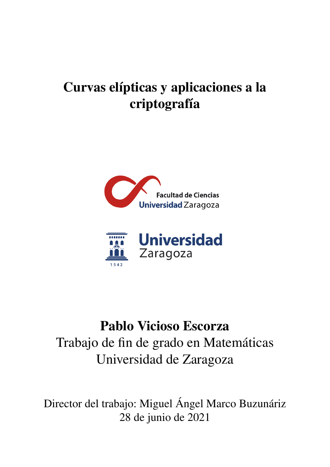# <span id="page-0-0"></span>Curvas elípticas y aplicaciones a la criptografía





## Pablo Vicioso Escorza Trabajo de fin de grado en Matemáticas Universidad de Zaragoza

Director del trabajo: Miguel Ángel Marco Buzunáriz 28 de junio de 2021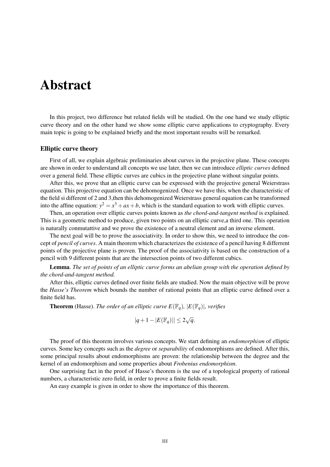### <span id="page-2-0"></span>Abstract

In this project, two difference but related fields will be studied. On the one hand we study elliptic curve theory and on the other hand we show some elliptic curve applications to cryptography. Every main topic is going to be explained briefly and the most important results will be remarked.

#### Elliptic curve theory

First of all, we explain algebraic preliminaries about curves in the projective plane. These concepts are shown in order to understand all concepts we use later, then we can introduce *elliptic curves* defined over a general field. These elliptic curves are cubics in the projective plane without singular points.

After this, we prove that an elliptic curve can be expressed with the projective general Weierstrass equation. This projective equation can be dehomogenized. Once we have this, when the characteristic of the field si different of 2 and 3,then this dehomogenized Weierstrass general equation can be transformed into the affine equation:  $y^2 = x^3 + ax + b$ , which is the standard equation to work with elliptic curves.

Then, an operation over elliptic curves points known as *the chord-and-tangent method* is explained. This is a geometric method to produce, given two points on an elliptic curve,a third one. This operation is naturally conmutattive and we prove the existence of a neutral element and an inverse element.

The next goal will be to prove the associativity. In order to show this, we need to introduce the concept of *pencil of curves*. A main theorem which characterizes the existence of a pencil having 8 differrent points of the projective plane is proven. The proof of the associativity is based on the construction of a pencil with 9 different points that are the intersection points of two different cubics.

Lemma. *The set of points of an elliptic curve forms an abelian group with the operation defined by the chord-and-tangent method.*

After this, elliptic curves defined over finite fields are studied. Now the main objective will be prove the *Hasse's Theorem* which bounds the number of rational points that an elliptic curve defined over a finite field has.

**Theorem** (Hasse). *The order of an elliptic curve*  $E(\mathbb{F}_q)$ *,*  $|E(\mathbb{F}_q)|$ *, verifies* 

$$
|q+1-|E(\mathbb{F}_q)|| \le 2\sqrt{q}.
$$

The proof of this theorem involves various concepts. We start defining an *endomorphism* of elliptic curves. Some key concepts such as the *degree* or *separability* of endomorphisms are defined. After this, some principal results about endomorphisms are proven: the relationship between the degree and the kernel of an endomorphism and some properties about *Frobenius endomorphism*.

One surprising fact in the proof of Hasse's theorem is the use of a topological property of rational numbers, a characteristic zero field, in order to prove a finite fields result.

An easy example is given in order to show the importance of this theorem.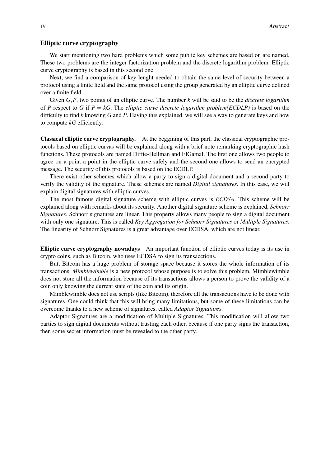#### Elliptic curve cryptography

We start mentioning two hard problems which some public key schemes are based on are named. These two problems are the integer factorization problem and the discrete logarithm problem. Elliptic curve cryptography is based in this second one.

Next, we find a comparison of key lenght needed to obtain the same level of security between a protocol using a finite field and the same protocol using the group generated by an elliptic curve defined over a finite field.

Given *G*,*P*, two points of an elliptic curve. The number *k* will be said to be the *discrete logarithm* of *P* respect to *G* if  $P = kG$ . The *elliptic curve discrete logarithm problem(ECDLP)* is based on the difficulty to find *k* knowing *G* and *P*. Having this explained, we will see a way to generate keys and how to compute *kG* efficiently.

Classical elliptic curve cryptography. At the beggining of this part, the classical cryptographic protocols based on elliptic curvas will be explained along with a brief note remarking cryptographic hash functions. These protocols are named Diffie-Hellman and ElGamal. The first one allows two people to agree on a point a point in the elliptic curve safely and the second one allows to send an encrypted message. The security of this protocols is based on the ECDLP.

There exist other schemes which allow a party to sign a digital document and a second party to verify the validity of the signature. These schemes are named *Digital signatures*. In this case, we will explain digital signatures with elliptic curves.

The most famous digital signature scheme with elliptic curves is *ECDSA*. This scheme will be explained along with remarks about its security. Another digital signature scheme is explained, *Schnorr Signatures*. Schnorr signatures are linear. This property allows many people to sign a digital document with only one signature. This is called *Key Aggregation for Schnorr Signatures* or *Multiple Signatures*. The linearity of Schnorr Signatures is a great advantage over ECDSA, which are not linear.

Elliptic curve cryptography nowadays An important function of elliptic curves today is its use in crypto coins, such as Bitcoin, who uses ECDSA to sign its transacctions.

But, Bitcoin has a huge problem of storage space because it stores the whole information of its transactions. *Mimblewimble* is a new protocol whose purpose is to solve this problem. Mimblewimble does not store all the information because of its transactions allows a person to prove the validity of a coin only knowing the current state of the coin and its origin.

Mimblewimble does not use scripts (like Bitcoin), therefore all the transactions have to be done with signatures. One could think that this will bring many limitations, but some of these limitations can be overcome thanks to a new scheme of signatures, called *Adaptor Signatures*.

Adaptor Signatures are a modification of Multiple Signatures. This modification will allow two parties to sign digital documents without trusting each other, because if one party signs the transaction, then some secret information must be revealed to the other party.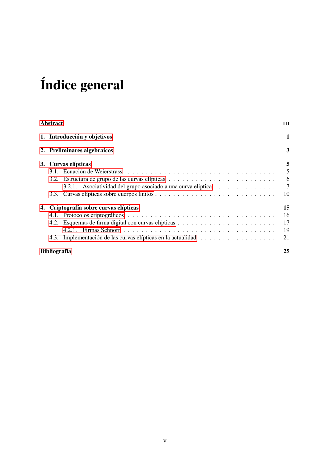# Índice general

| <b>Abstract</b> |                                                              |                |
|-----------------|--------------------------------------------------------------|----------------|
|                 | 1. Introducción y objetivos                                  | 1              |
|                 | 2. Preliminares algebraicos                                  | 3              |
|                 | 3. Curvas elípticas                                          | 5              |
|                 |                                                              | 5              |
|                 |                                                              | 6              |
|                 | 3.2.1. Asociatividad del grupo asociado a una curva elíptica | $\overline{7}$ |
|                 |                                                              | 10             |
|                 | 4. Criptografía sobre curvas elípticas                       | 15             |
|                 |                                                              | 16             |
|                 |                                                              | 17             |
|                 |                                                              | 19             |
|                 |                                                              | 21             |
|                 | <b>Bibliografía</b>                                          | 25             |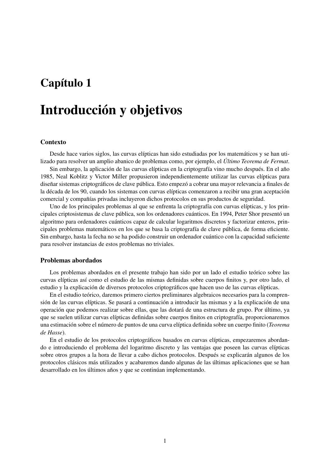### <span id="page-6-0"></span>Capítulo 1

### Introducción y objetivos

#### Contexto

Desde hace varios siglos, las curvas elípticas han sido estudiadas por los matemáticos y se han utilizado para resolver un amplio abanico de problemas como, por ejemplo, el *Último Teorema de Fermat*.

Sin embargo, la aplicación de las curvas elípticas en la criptografía vino mucho después. En el año 1985, Neal Koblitz y Victor Miller propusieron independientemente utilizar las curvas elípticas para diseñar sistemas criptográficos de clave pública. Esto empezó a cobrar una mayor relevancia a finales de la década de los 90, cuando los sistemas con curvas elípticas comenzaron a recibir una gran aceptación comercial y compañías privadas incluyeron dichos protocolos en sus productos de seguridad.

Uno de los principales problemas al que se enfrenta la criptografía con curvas elípticas, y los principales criptosistemas de clave pública, son los ordenadores cuánticos. En 1994, Peter Shor presentó un algoritmo para ordenadores cuánticos capaz de calcular logaritmos discretos y factorizar enteros, principales problemas matemáticos en los que se basa la criptografía de clave pública, de forma eficiente. Sin embargo, hasta la fecha no se ha podido construir un ordenador cuántico con la capacidad suficiente para resolver instancias de estos problemas no triviales.

#### Problemas abordados

Los problemas abordados en el presente trabajo han sido por un lado el estudio teórico sobre las curvas elípticas así como el estudio de las mismas definidas sobre cuerpos finitos y, por otro lado, el estudio y la explicación de diversos protocolos criptográficos que hacen uso de las curvas elípticas.

En el estudio teórico, daremos primero ciertos preliminares algebraicos necesarios para la comprensión de las curvas elípticas. Se pasará a continuación a introducir las mismas y a la explicación de una operación que podemos realizar sobre ellas, que las dotará de una estructura de grupo. Por último, ya que se suelen utilizar curvas elípticas definidas sobre cuerpos finitos en criptografía, proporcionaremos una estimación sobre el número de puntos de una curva elíptica definida sobre un cuerpo finito (*Teorema de Hasse*).

En el estudio de los protocolos criptográficos basados en curvas elípticas, empezaremos abordando e introduciendo el problema del logaritmo discreto y las ventajas que poseen las curvas elípticas sobre otros grupos a la hora de llevar a cabo dichos protocolos. Después se explicarán algunos de los protocolos clásicos más utilizados y acabaremos dando algunas de las últimas aplicaciones que se han desarrollado en los últimos años y que se continúan implementando.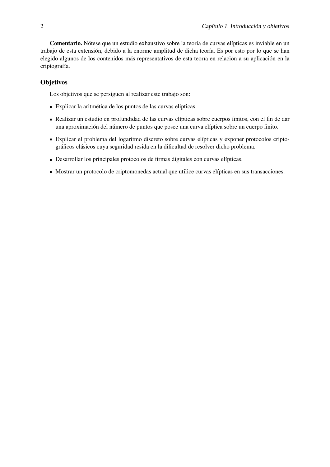Comentario. Nótese que un estudio exhaustivo sobre la teoría de curvas elípticas es inviable en un trabajo de esta extensión, debido a la enorme amplitud de dicha teoría. Es por esto por lo que se han elegido algunos de los contenidos más representativos de esta teoría en relación a su aplicación en la criptografía.

#### **Objetivos**

Los objetivos que se persiguen al realizar este trabajo son:

- Explicar la aritmética de los puntos de las curvas elípticas.
- Realizar un estudio en profundidad de las curvas elípticas sobre cuerpos finitos, con el fin de dar una aproximación del número de puntos que posee una curva elíptica sobre un cuerpo finito.
- Explicar el problema del logaritmo discreto sobre curvas elípticas y exponer protocolos criptográficos clásicos cuya seguridad resida en la dificultad de resolver dicho problema.
- Desarrollar los principales protocolos de firmas digitales con curvas elípticas.
- Mostrar un protocolo de criptomonedas actual que utilice curvas elípticas en sus transacciones.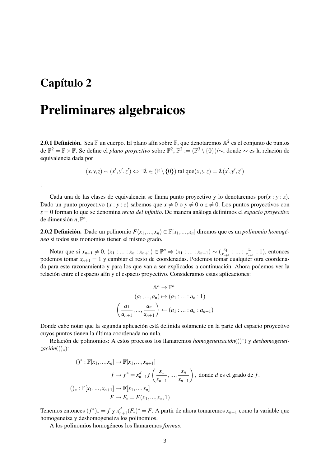### <span id="page-8-0"></span>Capítulo 2

.

### Preliminares algebraicos

**2.0.1 Definición.** Sea F un cuerpo. El plano afín sobre F, que denotaremos  $\mathbb{A}^2$  es el conjunto de puntos de  $\mathbb{F}^2 = \mathbb{F} \times \mathbb{F}$ . Se define el *plano proyectivo* sobre  $\mathbb{F}^2$ ,  $\mathbb{P}^2 := (\mathbb{F}^3 \setminus \{0\})/\sim$ , donde  $\sim$  es la relación de equivalencia dada por

 $(x, y, z) \sim (x', y', z') \Leftrightarrow \exists \lambda \in (\mathbb{F} \setminus \{0\}) \text{ tal que}(x, y, z) = \lambda (x', y', z')$ 

Cada una de las clases de equivalencia se llama punto proyectivo y lo denotaremos por $(x : y : z)$ . Dado un punto proyectivo  $(x : y : z)$  sabemos que  $x \neq 0$  o  $y \neq 0$  o  $z \neq 0$ . Los puntos proyectivos con *z* = 0 forman lo que se denomina *recta del infinito*. De manera análoga definimos el *espacio proyectivo* de dimensión  $n, \mathbb{P}^n$ .

**2.0.2 Definición.** Dado un polinomio  $F(x_1,...,x_n) \in \mathbb{F}[x_1,...,x_n]$  diremos que es un *polinomio homogéneo* si todos sus monomios tienen el mismo grado.

Notar que si  $x_{n+1} \neq 0$ ,  $(x_1 : ... : x_n : x_{n+1}) \in \mathbb{P}^n \Rightarrow (x_1 : ... : x_{n+1}) \sim (\frac{x_1}{x_{n+1}})$  $\frac{x_1}{x_{n+1}}$  : ... :  $\frac{x_n}{x_{n+1}}$  $\frac{x_n}{x_{n+1}}$ : 1), entonces podemos tomar *xn*+<sup>1</sup> = 1 y cambiar el resto de coordenadas. Podemos tomar cualquier otra coordenada para este razonamiento y para los que van a ser explicados a continuación. Ahora podemos ver la relación entre el espacio afín y el espacio proyectivo. Consideramos estas aplicaciones:

$$
\mathbb{A}^n \to \mathbb{P}^n
$$
  
\n
$$
(a_1, ..., a_n) \mapsto (a_1 : ... : a_n : 1)
$$
  
\n
$$
\left(\frac{a_1}{a_{n+1}}, ..., \frac{a_n}{a_{n+1}}\right) \leftarrow (a_1 : ... : a_n : a_{n+1})
$$

Donde cabe notar que la segunda aplicación está definida solamente en la parte del espacio proyectivo cuyos puntos tienen la última coordenada no nula.

Relación de polinomios: A estos procesos los llamaremos *homogeneización*(()<sup>∗</sup> ) y *deshomogeneización*(()∗):

$$
()^* : \mathbb{F}[x_1, ..., x_n] \to \mathbb{F}[x_1, ..., x_{n+1}]
$$
  

$$
f \mapsto f^* = x_{n+1}^d f\left(\frac{x_1}{x_{n+1}}, ..., \frac{x_n}{x_{n+1}}\right), \text{ donde } d \text{ es el grado de } f.
$$
  

$$
()_* : \mathbb{F}[x_1, ..., x_{n+1}] \to \mathbb{F}[x_1, ..., x_n]
$$
  

$$
F \mapsto F_* = F(x_1, ..., x_x, 1)
$$

Tenemos entonces  $(f^*)_* = f y x_{n+1}^d (F_*)^* = F$ . A partir de ahora tomaremos  $x_{n+1}$  como la variable que homogeneiza y deshomogeneiza los polinomios.

A los polinomios homogéneos los llamaremos *formas*.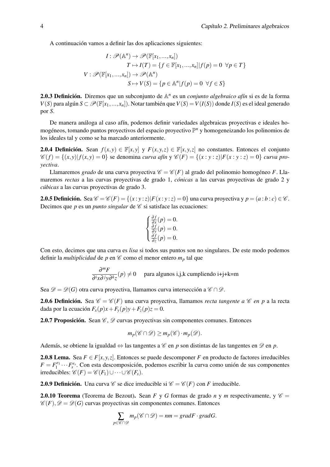A continuación vamos a definir las dos aplicaciones siguientes:

$$
I: \mathscr{P}(\mathbb{A}^n) \to \mathscr{P}(\mathbb{F}[x_1, ..., x_n])
$$

$$
T \to I(T) = \{f \in \mathbb{F}[x_1, ..., x_n]| f(p) = 0 \ \forall p \in T\}
$$

$$
V: \mathscr{P}(\mathbb{F}[x_1, ..., x_n]) \to \mathscr{P}(\mathbb{A}^n)
$$

$$
S \mapsto V(S) = \{p \in \mathbb{A}^n | f(p) = 0 \ \forall f \in S\}
$$

2.0.3 Definición. Diremos que un subconjunto de A *n* es un *conjunto algebraico afín* si es de la forma *V*(*S*) para algún *S* ⊂  $\mathscr{P}(\mathbb{F}[x_1,...,x_n])$ . Notar también que *V*(*S*) = *V*(*I*(*S*)) donde *I*(*S*) es el ideal generado por *S*.

De manera análoga al caso afín, podemos definir variedades algebraicas proyectivas e ideales homogéneos, tomando puntos proyectivos del espacio proyectivo P *<sup>n</sup>* y homogeneizando los polinomios de los ideales tal y como se ha marcado anteriormente.

**2.0.4 Definición.** Sean  $f(x, y) \in \mathbb{F}[x, y]$  y  $F(x, y, z) \in \mathbb{F}[x, y, z]$  no constantes. Entonces el conjunto  $\mathscr{C}(f) = \{(x, y) | f(x, y) = 0\}$  se denomina *curva afín*  $y \mathscr{C}(F) = \{(x : y : z) | F(x : y : z) = 0\}$  *curva proyectiva*.

Llamaremos *grado* de una curva proyectiva  $\mathscr{C} = \mathscr{C}(F)$  al grado del polinomio homogéneo *F*. Llamaremos *rectas* a las curvas proyectivas de grado 1, *cónicas* a las curvas proyectivas de grado 2 y *cúbicas* a las curvas proyectivas de grado 3.

**2.0.5 Definición.** Sea  $\mathscr{C} = \mathscr{C}(F) = \{(x : y : z) | F(x : y : z) = 0\}$  una curva proyectiva y  $p = (a : b : c) \in \mathscr{C}$ . Decimos que  $p$  es un *punto singular* de  $\mathscr C$  si satisface las ecuaciones:

$$
\begin{cases} \frac{\partial f}{\partial x}(p) = 0, \\ \frac{\partial f}{\partial y}(p) = 0, \\ \frac{\partial f}{\partial z}(p) = 0. \end{cases}
$$

Con esto, decimos que una curva es *lisa* si todos sus puntos son no singulares. De este modo podemos definir la *multiplicidad* de *p* en  $\mathscr C$  como el menor entero  $m_p$  tal que

$$
\frac{\partial^m F}{\partial^i x \partial^j y \partial^k z}(p) \neq 0
$$
para algunos i,j,k cumpliendo i+j+k=m

Sea  $\mathscr{D} = \mathscr{D}(G)$  otra curva provectiva, llamamos curva intersección a  $\mathscr{C} \cap \mathscr{D}$ .

**2.0.6 Definición.** Sea  $\mathscr{C} = \mathscr{C}(F)$  una curva proyectiva, llamamos *recta tangente a*  $\mathscr{C}$  *en p* a la recta dada por la ecuación  $F_x(p)x + F_y(p)y + F_z(p)z = 0$ .

**2.0.7 Proposición.** Sean  $\mathcal{C}, \mathcal{D}$  curvas provectivas sin componentes comunes. Entonces

$$
m_p(\mathscr{C} \cap \mathscr{D}) \ge m_p(\mathscr{C}) \cdot m_p(\mathscr{D}).
$$

Además, se obtiene la igualdad  $\Leftrightarrow$  las tangentes a  $\mathscr C$  en *p* son distintas de las tangentes en  $\mathscr D$  en *p*.

**2.0.8 Lema.** Sea  $F \in F[x, y, z]$ . Entonces se puede descomponer F en producto de factores irreducibles  $F = F_1^{e_1} \cdots F_s^{e_s}$ . Con esta descomposición, podemos escribir la curva como unión de sus componentes  $\text{irreducibles: } \mathcal{C}(F) = \mathcal{C}(F_1) \cup \cdots \cup \mathcal{C}(F_s).$ 

**2.0.9 Definición.** Una curva  $\mathscr{C}$  se dice irreducible si  $\mathscr{C} = \mathscr{C}(F)$  con *F* irreducible.

<span id="page-9-0"></span>**2.0.10 Teorema** (Teorema de Bezout). Sean *F* y *G* formas de grado *n* y *m* respectivamente, y  $\mathscr{C}$  =  $\mathscr{C}(F), \mathscr{D} = \mathscr{D}(G)$  curvas proyectivas sin componentes comunes. Entonces

$$
\sum_{p \in \mathscr{C} \cap \mathscr{D}} m_p(\mathscr{C} \cap \mathscr{D}) = nm = gradF \cdot gradG.
$$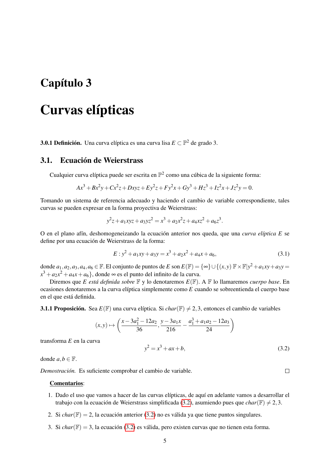### <span id="page-10-0"></span>Capítulo 3

### Curvas elípticas

**3.0.1 Definición.** Una curva elíptica es una curva lisa  $E \subset \mathbb{P}^2$  de grado 3.

#### <span id="page-10-1"></span>3.1. Ecuación de Weierstrass

Cualquier curva elíptica puede ser escrita en  $\mathbb{P}^2$  como una cúbica de la siguiente forma:

$$
Ax3 + Bx2y + Cx2z + Dxyz + Ey2z + Fy2x + Gy3 + Hz3 + Iz2x + Jz2y = 0.
$$

Tomando un sistema de referencia adecuado y haciendo el cambio de variable correspondiente, tales curvas se pueden expresar en la forma proyectiva de Weierstrass:

$$
y^2z + a_1xyz + a_3yz^2 = x^3 + a_2x^2z + a_4xz^2 + a_6z^3.
$$

O en el plano afín, deshomogeneizando la ecuación anterior nos queda, que una *curva elíptica E* se define por una ecuación de Weierstrass de la forma:

<span id="page-10-3"></span>
$$
E: y^2 + a_1xy + a_3y = x^3 + a_2x^2 + a_4x + a_6,
$$
\n(3.1)

donde  $a_1, a_2, a_3, a_4, a_6 \in \mathbb{F}$ . El conjunto de puntos de *E* son  $E(\mathbb{F}) = \{\infty\} \cup \{(x, y) \mathbb{F} \times \mathbb{F} | y^2 + a_1 xy + a_3 y = 0\}$  $x^3 + a_2x^2 + a_4x + a_6$ }, donde ∞ es el punto del infinito de la curva.

Diremos que *E está definida sobre* F y lo denotaremos *E*(F). A F lo llamaremos *cuerpo base*. En ocasiones denotaremos a la curva elíptica simplemente como *E* cuando se sobreentienda el cuerpo base en el que está definida.

**3.1.1 Proposición.** Sea  $E(\mathbb{F})$  una curva elíptica. Si *char*( $\mathbb{F}) \neq 2,3$ , entonces el cambio de variables

$$
(x,y) \mapsto \left(\frac{x - 3a_1^2 - 12a_2}{36}, \frac{y - 3a_1x}{216} - \frac{a_1^3 + a_1a_2 - 12a_3}{24}\right)
$$

transforma *E* en la curva

<span id="page-10-2"></span> $y^2 = x^3 + ax + b$ , (3.2)

donde  $a, b \in \mathbb{F}$ .

*Demostración.* Es suficiente comprobar el cambio de variable.

#### Comentarios:

- 1. Dado el uso que vamos a hacer de las curvas elípticas, de aquí en adelante vamos a desarrollar el trabajo con la ecuación de Weierstrass simplificada [\(3.2\)](#page-10-2), asumiendo pues que *char*( $\mathbb{F}$ )  $\neq$  2,3.
- 2. Si *char*( $\mathbb{F}$ ) = 2, la ecuación anterior [\(3.2\)](#page-10-2) no es válida ya que tiene puntos singulares.
- 3. Si *char*(F) = 3, la ecuación [\(3.2\)](#page-10-2) es válida, pero existen curvas que no tienen esta forma.

 $\Box$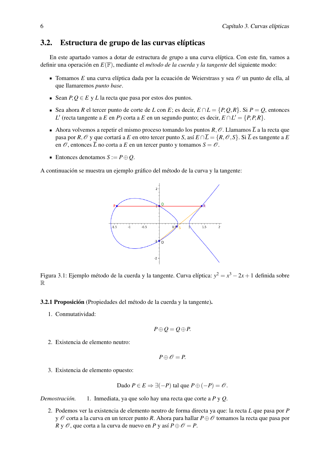#### <span id="page-11-0"></span>3.2. Estructura de grupo de las curvas elípticas

En este apartado vamos a dotar de estructura de grupo a una curva elíptica. Con este fin, vamos a definir una operación en *E*(F), mediante el *método de la cuerda y la tangente* del siguiente modo:

- $\blacksquare$  Tomamos *E* una curva elíptica dada por la ecuación de Weierstrass y sea  $\mathcal O$  un punto de ella, al que llamaremos *punto base*.
- Sean  $P, Q \in E$  y *L* la recta que pasa por estos dos puntos.
- Sea ahora *R* el tercer punto de corte de *L* con *E*; es decir,  $E \cap L = \{P, Q, R\}$ . Si  $P = Q$ , entonces *L*<sup> $\prime$ </sup> (recta tangente a *E* en *P*) corta a *E* en un segundo punto; es decir,  $E \cap L' = \{P, P, R\}$ .
- Ahora volvemos a repetir el mismo proceso tomando los puntos  $R, \mathcal{O}$ . Llamamos  $\overline{L}$  a la recta que pasa por *R*,  $\mathcal{O}$  y que cortará a *E* en otro tercer punto *S*, así  $E \cap \overline{L} = \{R, \mathcal{O}, S\}$ . Si  $\overline{L}$  es tangente a *E* en  $\mathcal O$ , entonces  $\overline{L}$  no corta a  $E$  en un tercer punto y tomamos  $S = \mathcal O$ .
- Entonces denotamos  $S := P \oplus Q$ .

A continuación se muestra un ejemplo gráfico del método de la curva y la tangente:



Figura 3.1: Ejemplo método de la cuerda y la tangente. Curva elíptica: *y* <sup>2</sup> = *x* <sup>3</sup> −2*x*+1 definida sobre R

3.2.1 Proposición (Propiedades del método de la cuerda y la tangente).

1. Conmutatividad:

$$
P\oplus Q=Q\oplus P.
$$

2. Existencia de elemento neutro:

$$
P\oplus\mathscr{O}=P.
$$

3. Existencia de elemento opuesto:

Dado 
$$
P ∈ E ⇒ ∃(−P)
$$
 tal que  $P ⊕(−P) = ∅$ .

*Demostración.* 1. Inmediata, ya que solo hay una recta que corte a *P* y *Q*.

2. Podemos ver la existencia de elemento neutro de forma directa ya que: la recta *L* que pasa por *P* y O corta a la curva en un tercer punto *R*. Ahora para hallar *P*⊕O tomamos la recta que pasa por *R* y  $\mathcal{O}$ , que corta a la curva de nuevo en *P* y así  $P \oplus \mathcal{O} = P$ .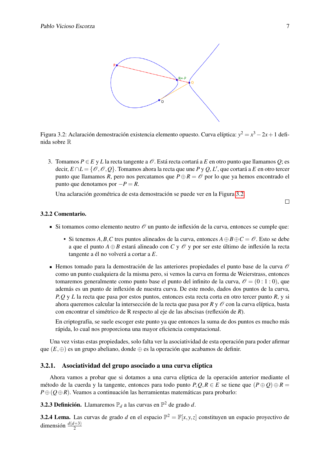<span id="page-12-1"></span>

Figura 3.2: Aclaración demostración existencia elemento opuesto. Curva elíptica:  $y^2 = x^3 - 2x + 1$  definida sobre R

3. Tomamos  $P \in E$  y *L* la recta tangente a  $\mathcal{O}$ . Está recta cortará a *E* en otro punto que llamamos *Q*; es decir,  $E \cap L = \{ \mathscr{O}, \mathscr{O}, \mathscr{Q} \}$ . Tomamos ahora la recta que une *P* y *Q*, *L'*, que cortará a *E* en otro tercer punto que llamamos *R*, pero nos percatamos que  $P \oplus R = \mathcal{O}$  por lo que ya hemos encontrado el punto que denotamos por  $-P = R$ .

Una aclaración geométrica de esta demostración se puede ver en la Figura [3.2.](#page-12-1)

 $\Box$ 

#### 3.2.2 Comentario.

- Si tomamos como elemento neutro  $\mathcal O$  un punto de inflexión de la curva, entonces se cumple que:
	- Si tenemos *A*, *B*, *C* tres puntos alineados de la curva, entonces  $A \oplus B \oplus C = \mathcal{O}$ . Esto se debe a que el punto  $A \oplus B$  estará alineado con C y  $\mathcal O$  y por ser este último de inflexión la recta tangente a él no volverá a cortar a *E*.
- Hemos tomado para la demostración de las anteriores propiedades el punto base de la curva  $\mathscr O$ como un punto cualquiera de la misma pero, si vemos la curva en forma de Weierstrass, entonces tomaremos generalmente como punto base el punto del infinito de la curva,  $\mathcal{O} = (0:1:0)$ , que además es un punto de inflexión de nuestra curva. De este modo, dados dos puntos de la curva, *P*,*Q* y *L* la recta que pasa por estos puntos, entonces esta recta corta en otro tercer punto *R*, y si ahora queremos calcular la intersección de la recta que pasa por  $R y \mathcal{O}$  con la curva elíptica, basta con encontrar el simétrico de R respecto al eje de las abscisas (reflexión de *R*).

En criptografía, se suele escoger este punto ya que entonces la suma de dos puntos es mucho más rápida, lo cual nos proporciona una mayor eficiencia computacional.

Una vez vistas estas propiedades, solo falta ver la asociatividad de esta operación para poder afirmar que  $(E, \oplus)$  es un grupo abeliano, donde  $\oplus$  es la operación que acabamos de definir.

#### <span id="page-12-0"></span>3.2.1. Asociatividad del grupo asociado a una curva elíptica

Ahora vamos a probar que si dotamos a una curva elíptica de la operación anterior mediante el método de la cuerda y la tangente, entonces para todo punto  $P, Q, R \in E$  se tiene que  $(P \oplus Q) \oplus R =$ *P*⊕(*Q*⊕*R*). Veamos a continuación las herramientas matemáticas para probarlo:

3.2.3 Definición. Llamaremos P*<sup>d</sup>* a las curvas en P <sup>2</sup> de grado *d*.

**3.2.4 Lema.** Las curvas de grado *d* en el espacio  $\mathbb{P}^2 = \mathbb{F}[x, y, z]$  constituyen un espacio proyectivo de dimensión  $\frac{d(d+3)}{2}$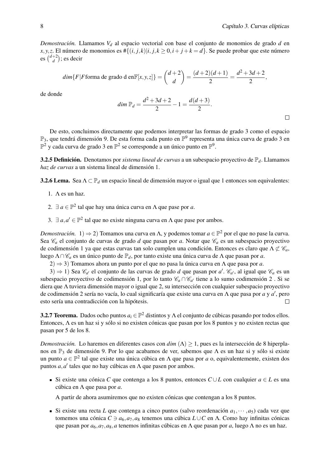*Demostración.* Llamamos *V<sup>d</sup>* al espacio vectorial con base el conjunto de monomios de grado *d* en *x*, *y*, *z*. El número de monomios es  $\# \{(i, j, k) | i, j, k \ge 0, i + j + k = d\}$ . Se puede probar que este número es  $\binom{d+2}{d}$  $\binom{+2}{d}$ ; es decir

$$
\dim\{F|F \text{forma de grado d en } \mathbb{F}[x,y,z]\} = \binom{d+2}{d} = \frac{(d+2)(d+1)}{2} = \frac{d^2+3d+2}{2},
$$

de donde

$$
dim \mathbb{P}_d = \frac{d^2 + 3d + 2}{2} - 1 = \frac{d(d+3)}{2}.
$$

De esto, concluimos directamente que podemos interpretar las formas de grado 3 como el espacio  $\mathbb{P}_3$ , que tendrá dimensión 9. De esta forma cada punto en  $\mathbb{P}^9$  representa una única curva de grado 3 en  $\mathbb{P}^2$  y cada curva de grado 3 en  $\mathbb{P}^2$  se corresponde a un único punto en  $\mathbb{P}^9$ .

3.2.5 Definición. Denotamos por *sistema lineal de curvas* a un subespacio proyectivo de P*d*. Llamamos *haz de curvas* a un sistema lineal de dimensión 1.

3.2.6 Lema. Sea Λ ⊂ P<sub>d</sub> un espacio lineal de dimensión mayor o igual que 1 entonces son equivalentes:

- 1.  $\Lambda$  es un haz.
- 2.  $\exists a \in \mathbb{P}^2$  tal que hay una única curva en  $\Lambda$  que pase por *a*.
- 3.  $\exists a, a' \in \mathbb{P}^2$  tal que no existe ninguna curva en  $\Lambda$  que pase por ambos.

*Demostración*.  $1) \Rightarrow 2)$  Tomamos una curva en Λ, y podemos tomar  $a \in \mathbb{P}^2$  por el que no pase la curva. Sea  $\mathcal{C}_a$  el conjunto de curvas de grado *d* que pasan por *a*. Notar que  $\mathcal{C}_a$  es un subespacio proyectivo de codimensión 1 ya que estas curvas tan solo cumplen una condición. Entonces es claro que  $\Lambda \not\subset \mathscr{C}_a$ , luego Λ∩C*<sup>a</sup>* es un único punto de P*d*, por tanto existe una única curva de Λ que pasan por *a*.

2) ⇒ 3) Tomamos ahora un punto por el que no pasa la única curva en Λ que pasa por *a*.

3) ⇒ 1) Sea  $\mathcal{C}_{a'}$  el conjunto de las curvas de grado *d* que pasan por *a'*.  $\mathcal{C}_{a'}$ , al igual que  $\mathcal{C}_a$  es un subespacio proyectivo de codimensión 1, por lo tanto  $\mathcal{C}_a \cap \mathcal{C}_{a'}$  tiene a lo sumo codimensión 2. Si se diera que Λ tuviera dimensión mayor o igual que 2, su intersección con cualquier subespacio proyectivo de codimensión 2 sería no vacía, lo cual significaría que existe una curva en Λ que pasa por *a* y *a* 0 , pero esto sería una contradicción con la hipótesis.  $\Box$ 

<span id="page-13-0"></span>**3.2.7 Teorema.** Dados ocho puntos  $a_i \in \mathbb{P}^2$  distintos y  $\Lambda$  el conjunto de cúbicas pasando por todos ellos. Entonces, Λ es un haz si y sólo si no existen cónicas que pasan por los 8 puntos y no existen rectas que pasan por 5 de los 8.

*Demostración.* Lo haremos en diferentes casos con *dim* (Λ) > 1, pues es la intersección de 8 hiperplanos en  $\mathbb{P}_3$  de dimensión 9. Por lo que acabamos de ver, sabemos que  $\Lambda$  es un haz si y sólo si existe un punto *a* ∈  $\mathbb{P}^2$  tal que existe una única cúbica en Λ que pasa por *a* o, equivalentemente, existen dos puntos  $a, a'$  tales que no hay cúbicas en  $\Lambda$  que pasen por ambos.

Si existe una cónica *C* que contenga a los 8 puntos, entonces *C* ∪*L* con cualquier *a* ∈ *L* es una cúbica en Λ que pasa por *a*.

A partir de ahora asumiremos que no existen cónicas que contengan a los 8 puntos.

Si existe una recta *L* que contenga a cinco puntos (salvo reordenación  $a_1, \dots, a_5$ ) cada vez que tomemos una cónica  $C \ni a_6, a_7, a_8$  tenemos una cúbica  $L \cup C$  en Λ. Como hay infinitas cónicas que pasan por *a*6,*a*7,*a*8,*a* tenemos infinitas cúbicas en Λ que pasan por *a*, luego Λ no es un haz.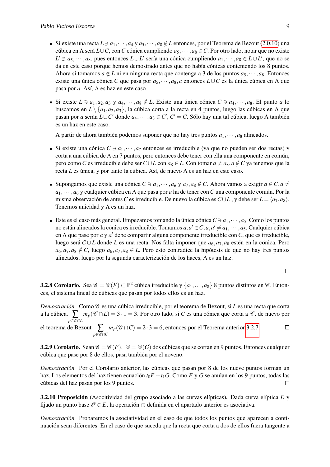- Si existe una recta  $L \ni a_1, \dots, a_4$  y  $a_5, \dots, a_8 \notin L$  entonces, por el Teorema de Bezout [\(2.0.10\)](#page-9-0) una cúbica en Λ será *L*∪*C*, con *C* cónica cumpliendo *a*5,··· ,*a*<sup>8</sup> ∈*C*. Por otro lado, notar que no existe *L*<sup> $'$ </sup> ∋ *a*<sub>5</sub>, ···, *a*<sub>8</sub>, pues entonces *L*∪*L*<sup> $\prime$ </sup> sería una cónica cumpliendo *a*<sub>1</sub>, ···, *a*<sub>8</sub> ∈ *L*∪*L*<sup> $\prime$ </sup>, que no se da en este caso porque hemos demostrado antes que no había cónicas conteniendo los 8 puntos. Ahora si tomamos  $a \notin L$  ni en ninguna recta que contenga a 3 de los puntos  $a_5, \dots, a_8$ . Entonces existe una única cónica *C* que pasa por *a*5,··· ,*a*8,*a* entonces *L*∪*C* es la única cúbica en Λ que pasa por *a*. Así, Λ es haz en este caso.
- Si existe  $L \ni a_1, a_2, a_3 \, y \, a_4, \cdots, a_8 \notin L$ . Existe una única cónica  $C \ni a_4, \cdots, a_8$ . El punto *a* lo buscamos en *L* \ {*a*1,*a*2,*a*3}, la cúbica corta a la recta en 4 puntos, luego las cúbicas en Λ que pasan por *a* serán *L*∪*C* <sup>0</sup> donde *a*4,··· ,*a*<sup>8</sup> ∈ *C* 0 , *C* <sup>0</sup> = *C*. Sólo hay una tal cúbica, luego Λ también es un haz en este caso.

A partir de ahora también podemos suponer que no hay tres puntos  $a_1, \dots, a_8$  alineados.

- Si existe una cónica  $C \ni a_1, \dots, a_7$  entonces es irreducible (ya que no pueden ser dos rectas) y corta a una cúbica de  $\Lambda$  en 7 puntos, pero entonces debe tener con ella una componente en común, pero como *C* es irreducible debe ser *C*∪*L* con  $a_8$  ∈ *L*. Con tomar  $a ≠ a_8$ ,  $a ∉ C$  ya tenemos que la recta *L* es única, y por tanto la cúbica. Así, de nuevo Λ es un haz en este caso.
- Supongamos que existe una cónica  $C \ni a_1, \dots, a_6 \, y \, a_7, a_8 \notin C$ . Ahora vamos a exigir  $a \in C, a \neq 0$ *a*1,··· ,*a*<sup>6</sup> y cualquier cúbica en Λ que pasa por *a* ha de tener con*C* una componente común. Por la misma observación de antes *C* es irreducible. De nuevo la cúbica es  $C \cup L$ , y debe ser  $L = \langle a_7, a_8 \rangle$ . Tenemos unicidad y  $\Lambda$  es un haz.
- Este es el caso más general. Empezamos tomando la única cónica  $C \ni a_1, \dots, a_5$ . Como los puntos no están alineados la cónica es irreducible. Tomamos  $a, a' \in C$ ,  $a, a' \neq a_1, \cdots, a_5$ . Cualquier cúbica en Λ que pase por *a* y *a'* debe compartir alguna componente irreducible con *C*, que es irreducible, luego será *C* ∪*L* donde *L* es una recta. Nos falta imponer que *a*6,*a*7,*a*<sup>8</sup> estén en la cónica. Pero  $a_6, a_7, a_8 \notin C$ , luego  $a_6, a_7, a_8 \in L$ . Pero esto contradice la hipótesis de que no hay tres puntos alineados, luego por la segunda caracterización de los haces, Λ es un haz.

 $\Box$ 

**3.2.8 Corolario.** Sea  $\mathscr{C} = \mathscr{C}(F) \subset \mathbb{P}^2$  cúbica irreducible y  $\{a_1, \ldots, a_8\}$  8 puntos distintos en  $\mathscr{C}$ . Entonces, el sistema lineal de cúbicas que pasan por todos ellos es un haz.

*Demostración.* Como  $\mathscr C$  es una cúbica irreducible, por el teorema de Bezout, si L es una recta que corta a la cúbica,  $\sum_{p\in \mathscr{C} \cap L}$ *m<sub>p</sub>*( $\mathscr{C} \cap L$ ) = 3⋅1 = 3. Por otro lado, si *C* es una cónica que corta a  $\mathscr{C}$ , de nuevo por

**el teorema de Bezout**<br>*p*∈C∩C  $m_p(\mathscr{C} \cap C) = 2 \cdot 3 = 6$ , entonces por el Teorema anterior [3.2.7.](#page-13-0)  $\Box$ 

<span id="page-14-0"></span>**3.2.9 Corolario.** Sean  $\mathscr{C} = \mathscr{C}(F)$ ,  $\mathscr{D} = \mathscr{D}(G)$  dos cúbicas que se cortan en 9 puntos. Entonces cualquier cúbica que pase por 8 de ellos, pasa también por el noveno.

*Demostración.* Por el Corolario anterior, las cúbicas que pasan por 8 de los nueve puntos forman un haz. Los elementos del haz tienen ecuación  $t_0F + t_1G$ . Como *F* y *G* se anulan en los 9 puntos, todas las cúbicas del haz pasan por los 9 puntos.  $\Box$ 

3.2.10 Proposición (Asocitividad del grupo asociado a las curvas elípticas). Dada curva elíptica *E* y fijado un punto base  $\mathcal{O} \in E$ , la operación  $\oplus$  definida en el apartado anterior es asociativa.

*Demostración.* Probaremos la asociatividad en el caso de que todos los puntos que aparecen a continuación sean diferentes. En el caso de que suceda que la recta que corta a dos de ellos fuera tangente a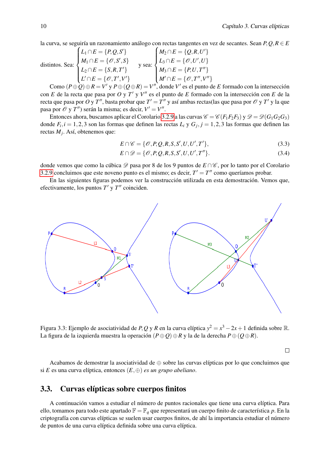la curva, se seguiría un razonamiento análogo con rectas tangentes en vez de secantes. Sean *P*,*Q*,*R* ∈ *E*

distintos. Sea: 
$$
\begin{cases} L_1 \cap E = \{P, Q, S'\} \\ M_1 \cap E = \{O, S', S\} \\ L_2 \cap E = \{S, R, T'\} \end{cases}
$$
 
$$
y \text{ sea: } \begin{cases} M_2 \cap E = \{Q, R, U'\} \\ L_3 \cap E = \{O, U', U\} \\ M_3 \cap E = \{P, U, T''\} \\ M' \cap E = \{O, T'', V''\} \end{cases}
$$

Como  $(P \oplus \mathcal{Q}) \oplus R = V'$  y  $P \oplus (Q \oplus R) = V''$ , donde  $V'$  es el punto de *E* formado con la intersección con *E* de la recta que pasa por *O* y *T*<sup>'</sup> y *V*<sup>''</sup> es el punto de *E* formado con la intersección con *E* de la recta que pasa por  $O$  y  $T''$ , basta probar que  $T'=T''$  y así ambas rectas(las que pasa por  $\mathscr O$  y  $T'$  y la que pasa por  $\mathcal{O}$  y *T*") serán la misma; es decir,  $V' = V''$ .

Entonces ahora, buscamos aplicar el Corolario [3.2.9](#page-14-0) a las curvas  $\mathcal{C} = \mathcal{C}(F_1F_2F_3)$  y  $\mathcal{D} = \mathcal{D}(G_1G_2G_3)$ donde  $F_i$ ,  $i = 1, 2, 3$  son las formas que definen las rectas  $L_i$  y  $G_j$ ,  $j = 1, 2, 3$  las formas que definen las rectas *M<sup>j</sup>* . Así, obtenemos que:

$$
E \cap \mathscr{C} = \{ \mathscr{O}, P, Q, R, S, S', U, U', T' \},\tag{3.3}
$$

$$
E \cap \mathcal{D} = \{ \mathcal{O}, P, Q, R, S, S', U, U', T'' \}. \tag{3.4}
$$

donde vemos que como la cúbica  $\mathscr D$  pasa por 8 de los 9 puntos de *E* ∩  $\mathscr C$ , por lo tanto por el Corolario [3.2.9](#page-14-0) concluimos que este noveno punto es el mismo; es decir,  $T' = T''$  como queríamos probar.

En las siguientes figuras podemos ver la construcción utilizada en esta demostración. Vemos que, efectivamente, los puntos  $T'$  y  $T''$  coinciden.



Figura 3.3: Ejemplo de asociatividad de *P*, *Q* y *R* en la curva elíptica  $y^2 = x^3 - 2x + 1$  definida sobre R. La figura de la izquierda muestra la operación (*P*⊕*Q*)⊕*R* y la de la derecha *P*⊕(*Q*⊕*R*).

 $\Box$ 

Acabamos de demostrar la asociatividad de  $\oplus$  sobre las curvas elípticas por lo que concluimos que si *E* es una curva elíptica, entonces (*E*,⊕) *es un grupo abeliano*.

#### <span id="page-15-0"></span>3.3. Curvas elípticas sobre cuerpos finitos

A continuación vamos a estudiar el número de puntos racionales que tiene una curva elíptica. Para ello, tomamos para todo este apartado  $\mathbb{F} = \mathbb{F}_q$  que representará un cuerpo finito de característica p. En la criptografía con curvas elípticas se suelen usar cuerpos finitos, de ahí la importancia estudiar el número de puntos de una curva elíptica definida sobre una curva elíptica.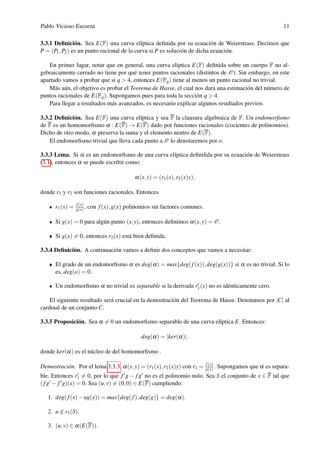3.3.1 Definición. Sea *E*(F) una curva elíptica definida por su ecuación de Weierstrass. Decimos que  $P = (P_1, P_2)$  es un punto racional de la curva si *P* es solución de dicha ecuación.

En primer lugar, notar que en general, una curva elíptica  $E(\mathbb{F})$  definida sobre un cuerpo  $\mathbb{F}$  no algebraicamente cerrado no tiene por qué tener puntos racionales (distintos de  $\mathcal{O}$ ). Sin embargo, en este apartado vamos a probar que si  $q > 4$ , entonces  $E(\mathbb{F}_q)$  tiene al menos un punto racional no trivial.

Más aún, el objetivo es probar el *Teorema de Hasse*, el cual nos dará una estimación del número de puntos racionales de  $E(\mathbb{F}_q)$ . Supongamos pues para toda la sección  $q > 4$ .

Para llegar a resultados más avanzados, es necesario explicar algunos resultados previos.

3.3.2 Definición. Sea *E*(F) una curva elíptica y sea F la clausura algebraica de F. Un *endomorfismo* de  $\overline{\mathbb{F}}$  es un homomorfismo  $\alpha : E(\overline{\mathbb{F}}) \to E(\overline{\mathbb{F}})$  dado por funciones racionales (cocientes de polinomios). Dicho de otro modo,  $\alpha$  preserva la suma y el elemento neutro de  $E(\mathbb{F})$ .

El endomorfismo trivial que lleva cada punto a  $\mathcal O$  lo denotaremos por  $o$ .

<span id="page-16-0"></span>3.3.3 Lema. Si  $\alpha$  es un endomorfismo de una curva elíptica definifida por su ecuación de Weierstrass [\(3.1\)](#page-10-3), entonces  $\alpha$  se puede escribir como:

$$
\alpha(x,y)=(r_1(x),r_2(x)y),
$$

donde *r*<sup>1</sup> y *r*<sup>2</sup> son funciones racionales. Entonces

- $r_1(x) = \frac{f(x)}{g(x)}$ , con  $f(x)$ ,  $g(x)$  polinomios sin factores comunes.
- Si  $g(x) = 0$  para algún punto  $(x, y)$ , entonces definimos  $\alpha(x, y) = \mathcal{O}$ .
- Si  $g(x) \neq 0$ , entonces  $r_2(x)$  está bien definida.

<span id="page-16-1"></span>3.3.4 Definición. A continuación vamos a definir dos conceptos que vamos a necesitar:

- El grado de un endomorfismo  $\alpha$  es  $deg(\alpha) = max\{deg(f(x)), deg(g(x))\}$  si  $\alpha$  es no trivial. Si lo es,  $deg(o) = 0$ .
- Un endomorfismo  $\alpha$  no trivial es *separable* si la derivada  $r'_1(x)$  no es idénticamente cero.

El siguiente resultado será crucial en la demostración del Teorema de Hasse. Denotamos por |*C*| al cardinal de un conjunto *C*.

<span id="page-16-2"></span>**3.3.5 Proposición.** Sea  $\alpha \neq 0$  un endomorfismo separable de una curva elíptica *E*. Entonces:

$$
deg(\alpha) = |ker(\alpha)|.
$$

donde *ker*(α) es el núcleo de del homomorfismo .

*Demostración.* Por el lema [3.3.3,](#page-16-0)  $\alpha(x, y) = (r_1(x), r_2(x)y)$  con  $r_1 = \frac{f(x)}{g(x)}$  $\frac{f(x)}{g(x)}$ . Supongamos que  $\alpha$  es separable. Entonces  $r'_1 \neq 0$ , por lo que  $f'g - fg'$  no es el polinomio nulo. Sea *S* el conjunto de  $x \in \mathbb{F}$  tal que  $(fg' - f'g)(x) = 0$ . Sea  $(u, v) ≠ (0, 0) ∈ E(\overline{F})$  cumpliendo:

- 1.  $deg(f(x) ug(x)) = max\{deg(f), deg(g)\} = deg(\alpha).$
- 2.  $u \notin r_1(S)$ .
- 3.  $(u, v) \in \alpha(E(\overline{\mathbb{F}}))$ .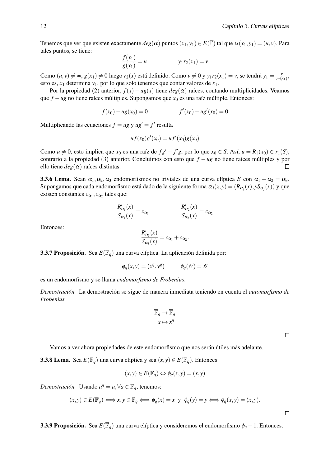Tenemos que ver que existen exactamente  $deg(\alpha)$  puntos  $(x_1, y_1) \in E(\overline{\mathbb{F}})$  tal que  $\alpha(x_1, y_1) = (u, v)$ . Para tales puntos, se tiene:

$$
\frac{f(x_1)}{g(x_1)} = u \qquad y_1 r_2(x_1) = v
$$

Como  $(u, v) \neq \infty$ ,  $g(x_1) \neq 0$  luego  $r_2(x)$  está definido. Como  $v \neq 0$  y  $y_1 r_2(x_1) = v$ , se tendrá  $y_1 = \frac{v_1}{r_2(x_1)}$  $\frac{v}{r_2(x_1)}$ esto es,  $x_1$  determina  $y_1$ , por lo que solo tenemos que contar valores de  $x_1$ .

Por la propiedad (2) anterior,  $f(x) - ug(x)$  tiene  $deg(\alpha)$  raíces, contando multiplicidades. Veamos que *f* −*ug* no tiene raíces múltiples. Supongamos que *x*<sup>0</sup> es una raíz múltiple. Entonces:

$$
f(x_0) - u g(x_0) = 0
$$
  $f'(x_0) - u g'(x_0) = 0$ 

Multiplicando las ecuaciones  $f = ug y u g' = f'$  resulta

$$
uf(x_0)g'(x_0) = uf'(x_0)g(x_0)
$$

Como *u*  $\neq$  0, esto implica que *x*<sub>0</sub> es una raíz de *fg*<sup> $\prime$ </sup> – *f*<sup> $\prime$ </sup>*g*, por lo que *x*<sub>0</sub> ∈ *S*. Así, *u* = *R*<sub>1</sub>(*x*<sub>0</sub>) ∈ *r*<sub>1</sub>(*S*), contrario a la propiedad (3) anterior. Concluimos con esto que *f* − *ug* no tiene raíces múltiples y por ello tiene  $deg(\alpha)$  raíces distintas.  $\Box$ 

<span id="page-17-1"></span>**3.3.6 Lema.** Sean  $\alpha_1, \alpha_2, \alpha_3$  endomorfismos no triviales de una curva elíptica *E* con  $\alpha_1 + \alpha_2 = \alpha_3$ . Supongamos que cada endomorfismo está dado de la siguiente forma  $\alpha_j(x,y) = (R_{\alpha_j}(x), yS_{\alpha_j}(x))$  y que existen constantes  $c_{\alpha_1}, c_{\alpha_2}$  tales que:

$$
\frac{R'_{\alpha_1}(x)}{S_{\alpha_1}(x)} = c_{\alpha_1} \qquad \qquad \frac{R'_{\alpha_2}(x)}{S_{\alpha_2}(x)} = c_{\alpha_2}
$$

Entonces:

$$
\frac{R'_{\alpha_3}(x)}{S_{\alpha_3}(x)}=c_{\alpha_1}+c_{\alpha_2}.
$$

3.3.7 Proposición. Sea *E*(F*q*) una curva elíptica. La aplicación definida por:

$$
\phi_q(x, y) = (x^q, y^q) \qquad \phi_q(\mathcal{O}) = \mathcal{O}
$$

es un endomorfismo y se llama *endomorfismo de Frobenius*.

*Demostración.* La demostración se sigue de manera inmediata teniendo en cuenta el *automorfismo de Frobenius*

$$
\overline{\mathbb{F}}_q \to \overline{\mathbb{F}}_q
$$

$$
x \mapsto x^q
$$

 $\Box$ 

 $\Box$ 

Vamos a ver ahora propiedades de este endomorfismo que nos serán útiles más adelante.

<span id="page-17-0"></span>**3.3.8 Lema.** Sea  $E(\mathbb{F}_q)$  una curva elíptica y sea  $(x, y) \in E(\overline{\mathbb{F}}_q)$ . Entonces

$$
(x, y) \in E(\mathbb{F}_q) \Leftrightarrow \phi_q(x, y) = (x, y)
$$

*Demostración.* Usando  $a^q = a, \forall a \in \mathbb{F}_q$ , tenemos:

$$
(x,y)\in E(\mathbb{F}_q)\Longleftrightarrow x,y\in \mathbb{F}_q\Longleftrightarrow \phi_q(x)=x\ \text{y}\ \ \phi_q(y)=y\Longleftrightarrow \phi_q(x,y)=(x,y).
$$

<span id="page-17-2"></span>3.3.9 Proposición. Sea *E*(F*q*) una curva elíptica y consideremos el endomorfismo φ*<sup>q</sup>* −1. Entonces: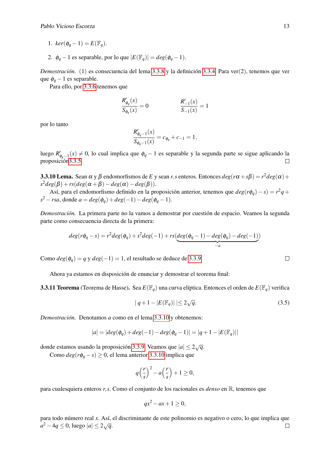- 1.  $ker(\phi_a 1) = E(\mathbb{F}_a)$ .
- 2.  $\phi_q 1$  es separable, por lo que  $|E(\mathbb{F}_q)| = deg(\phi_q 1)$ .

*Demostración.* (1) es consecuencia del lema [3.3.8](#page-17-0) y la definición [3.3.4.](#page-16-1) Para ver(2), tenemos que ver que  $\phi_q - 1$  es separable.

Para ello, por [3.3.6](#page-17-1) tenemos que

$$
\frac{R'_{\phi_q}(x)}{S_{\phi_q}(x)} = 0
$$
\n
$$
\frac{R'_{-1}(x)}{S_{-1}(x)} = 1
$$

por lo tanto

$$
\frac{R'_{\phi_q-1}(x)}{S_{\phi_q-1}(x)} = c_{\phi_q} + c_{-1} = 1,
$$

luego *R*'<sub>φ*q*−1</sub>(*x*) ≠ 0, lo cual implica que  $φ$ <sub>*q*</sub> − 1 es separable y la segunda parte se sigue aplicando la proposició[n3.3.5.](#page-16-2)  $\Box$ 

<span id="page-18-0"></span>3.3.10 Lema. Sean α y β endomorfismos de *E* y sean *r*,*s* enteros. Entonces *deg*(*r*α +*s*β) = *r* <sup>2</sup>*deg*(α)+  $s^2deg(\beta) + rs(deg(\alpha + \beta) - deg(\alpha) - deg(\beta)).$ 

Así, para el endomorfismo definido en la proposición anterior, tenemos que *deg*(*r*φ*q*)−*s*) = *r* <sup>2</sup>*q*+  $s^2 - rsa$ , donde  $a = deg(\phi_q) + deg(-1) - deg(\phi_q - 1)$ .

*Demostración.* La primera parte no la vamos a demostrar por cuestión de espacio. Veamos la segunda parte como consecuencia directa de la primera:

$$
deg(r\phi_q - s) = r^2 deg(\phi_q) + s^2 deg(-1) + rs(\underbrace{deg(\phi_q - 1) - deg(\phi_q) - deg(-1))}_{-a})
$$

Como  $deg(\phi_a) = q$  y  $deg(-1) = 1$ , el resultado se deduce de [3.3.9.](#page-17-2)

Ahora ya estamos en disposición de enunciar y demostrar el teorema final:

3.3.11 Teorema (Teorema de Hasse). Sea *E*(F*q*) una curva elíptica. Entonces el orden de *E*(F*q*) verifica

$$
|q+1-|E(\mathbb{F}_q)| \le 2\sqrt{q}.\tag{3.5}
$$

*Demostración.* Denotamos *a* como en el lema [3.3.10](#page-18-0) y obtenemos:

$$
|a| = |deg(\phi_q) + deg(-1) - deg(\phi_q - 1)| = |q + 1 - |E(\mathbb{F}_q)||
$$

donde estamos usando la proposición [3.3.9.](#page-17-2) Veamos que |*a*| ≤ 2 √*q*.

Como  $deg(r\phi_q - s) \geq 0$ , el lema anterior [3.3.10](#page-18-0) implica que

$$
q\left(\frac{r}{s}\right)^2 - a\left(\frac{r}{s}\right) + 1 \ge 0,
$$

para cualesquiera enteros *r*,*s*. Como el conjunto de los racionales es *denso* en R, tenemos que

$$
qx^2 - ax + 1 \ge 0,
$$

para todo número real *x*. Así, el discriminante de este polinomio es negativo o cero, lo que implica que *a*<sup>2</sup> − 4*q* ≤ 0, luego  $|a|$  ≤ 2 $\sqrt{q}$ .  $\Box$ 

$$
\qquad \qquad \Box
$$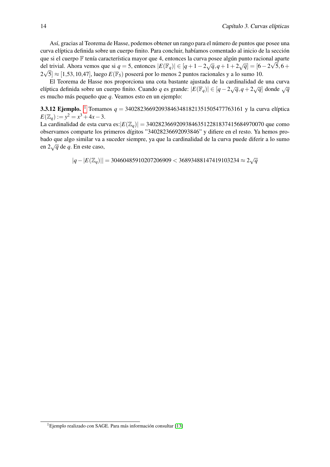Así, gracias al Teorema de Hasse, podemos obtener un rango para el número de puntos que posee una curva elíptica definida sobre un cuerpo finito. Para concluir, habíamos comentado al inicio de la sección que si el cuerpo F tenía característica mayor que 4, entonces la curva posee algún punto racional aparte del trivial. Ahora vemos que si *q* = 5, entonces  $|E(\mathbb{F}_q)| \in [q+1-2\sqrt{q}, q+1+2\sqrt{q}] = [6-2\sqrt{5}, 6+$  $2\sqrt{5}] \approx [1, 53, 10, 47]$ , luego  $E(\mathbb{F}_5)$  poseerá por lo menos 2 puntos racionales y a lo sumo 10.

El Teorema de Hasse nos proporciona una cota bastante ajustada de la cardinalidad de una curva elíptica definida sobre un cuerpo finito. Cuando *q* es grande:  $|E(\mathbb{F}_q)| \in [q - 2\sqrt{q}, q + 2\sqrt{q}]$  donde  $\sqrt{q}$ es mucho más pequeño que *q*. Veamos esto en un ejemplo:

**3.3.[1](#page-0-0)2 Ejemplo.** <sup>1</sup> Tomamos  $q = 340282366920938463481821351505477763161$  y la curva elíptica  $E(\mathbb{Z}_q) := y^2 = x^3 + 4x - 3.$ 

La cardinalidad de esta curva es:|*E*(Z*q*)| = 340282366920938463512281837415684970070 que como observamos comparte los primeros dígitos "34028236692093846" y difiere en el resto. Ya hemos probado que algo similar va a suceder siempre, ya que la cardinalidad de la curva puede diferir a lo sumo en 2√*<sup>q</sup>* de *<sup>q</sup>*. En este caso,

$$
|q - |E(\mathbb{Z}_q)|| = 30460485910207206909 < 36893488147419103234 \approx 2\sqrt{q}
$$

<sup>1</sup>Ejemplo realizado con SAGE. Para más información consultar [\[13\]](#page-31-0)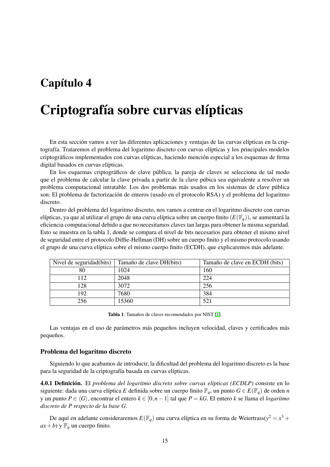### <span id="page-20-0"></span>Capítulo 4

### Criptografía sobre curvas elípticas

En esta sección vamos a ver las diferentes aplicaciones y ventajas de las curvas elípticas en la criptografía. Trataremos el problema del logaritmo discreto con curvas elípticas y los principales modelos criptográficos implementados con curvas elípticas, haciendo mención especial a los esquemas de firma digital basados en curvas elípticas.

En los esquemas criptográficos de clave pública, la pareja de claves se selecciona de tal modo que el problema de calcular la clave privada a partir de la clave púbica sea equivalente a resolver un problema computacional intratable. Los dos problemas más usados en los sistemas de clave pública son: El problema de factorización de enteros (usado en el protocolo RSA) y el problema del logaritmo discreto.

Dentro del problema del logaritmo discreto, nos vamos a centrar en el logaritmo discreto con curvas elípticas, ya que al utilizar el grupo de una curva elíptica sobre un cuerpo finito (*E*(F*q*)), se aumentará la eficiencia computacional debido a que no necesitamos claves tan largas para obtener la misma seguridad. Esto se muestra en la tabla 1, donde se compara el nivel de bits necesarios para obtener el mismo nivel de seguridad entre el protocolo Diffie-Hellman (DH) sobre un cuerpo finito y el mismo protocolo usando el grupo de una curva elíptica sobre el mismo cuerpo finito (ECDH), que explicaremos más adelante.

| Nivel de seguridad(bits) | Tamaño de clave DH(bits) | Tamaño de clave en ECDH (bits) |
|--------------------------|--------------------------|--------------------------------|
| 80                       | 1024                     | 160                            |
| 112                      | 2048                     | 224                            |
| 128                      | 3072                     | 256                            |
| 192                      | 7680                     | 384                            |
| 256                      | 15360                    | 521                            |

Tabla 1: Tamaños de claves recomendados por NIST [\[1\]](#page-30-1).

Las ventajas en el uso de parámetros más pequeños incluyen velocidad, claves y certificados más pequeños.

#### Problema del logaritmo discreto

Siguiendo lo que acabamos de introducir, la dificultad del problema del logaritmo discreto es la base para la seguridad de la criptografía basada en curvas elípticas.

4.0.1 Definición. El *problema del logaritmo discreto sobre curvas elípticas (ECDLP)* consiste en lo siguiente: dada una curva elíptica *E* definida sobre un cuerpo finito  $\mathbb{F}_q$ , un punto  $G \in E(\mathbb{F}_q)$  de orden *n* y un punto *P* ∈ h*G*i, encontrar el entero *k* ∈ [0,*n*−1] tal que *P* = *kG*. El entero *k* se llama el *logaritmo discreto de P respecto de la base G*.

De aquí en adelante consideraremos  $E(\mathbb{F}_q)$  una curva elíptica en su forma de Weiertrass( $y^2 = x^3 + y^2$  $ax + b$ ) y  $\mathbb{F}_q$  un cuerpo finito.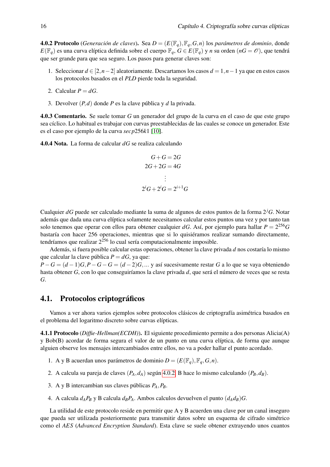<span id="page-21-1"></span>4.0.2 Protocolo (*Generación de claves*). Sea *D* = (*E*(F*q*),F*q*,*G*,*n*) los *parámetros de dominio*, donde *E*( $\mathbb{F}_q$ ) es una curva elíptica definida sobre el cuerpo  $\mathbb{F}_q$ , *G* ∈ *E*( $\mathbb{F}_q$ ) y *n* su orden (*nG* =  $\mathcal{O}$ ), que tendrá que ser grande para que sea seguro. Los pasos para generar claves son:

- 1. Seleccionar *d* ∈ [2,*n*−2] aleatoriamente. Descartamos los casos *d* = 1,*n*−1 ya que en estos casos los protocolos basados en el *PLD* pierde toda la seguridad.
- 2. Calcular  $P = dG$ .
- 3. Devolver (*P*,*d*) donde *P* es la clave pública y *d* la privada.

4.0.3 Comentario. Se suele tomar *G* un generador del grupo de la curva en el caso de que este grupo sea cíclico. Lo habitual es trabajar con curvas preestablecidas de las cuales se conoce un generador. Este es el caso por ejemplo de la curva *secp*256*k*1 [\[10\]](#page-30-2).

4.0.4 Nota. La forma de calcular *dG* se realiza calculando

$$
G+G=2G
$$
  
2G+2G=4G  

$$
\vdots
$$
  
2<sup>i</sup>G+2<sup>i</sup>G=2<sup>i+1</sup>G

Cualquier *dG* puede ser calculado mediante la suma de algunos de estos puntos de la forma 2*jG*. Notar además que dada una curva elíptica solamente necesitamos calcular estos puntos una vez y por tanto tan solo tenemos que operar con ellos para obtener cualquier *dG*. Así, por ejemplo para hallar *P* = 2 <sup>256</sup>*G* bastaría con hacer 256 operaciones, mientras que si lo quisiéramos realizar sumando directamente, tendríamos que realizar  $2^{256}$  lo cual sería computacionalmente imposible.

Además, si fuera posible calcular estas operaciones, obtener la clave privada *d* nos costaría lo mismo que calcular la clave pública  $P = dG$ , ya que: *P*−*G* =  $(d-1)G$ ,*P*−*G*−*G* =  $(d-2)G$ ,... y así sucesivamente restar *G* a lo que se vaya obteniendo

hasta obtener *G*, con lo que conseguiríamos la clave privada *d*, que será el número de veces que se resta *G*.

#### <span id="page-21-0"></span>4.1. Protocolos criptográficos

Vamos a ver ahora varios ejemplos sobre protocolos clásicos de criptografía asimétrica basados en el problema del logaritmo discreto sobre curvas elípticas.

4.1.1 Protocolo (*Diffie-Hellman(ECDH)*). El siguiente procedimiento permite a dos personas Alicia(A) y Bob(B) acordar de forma segura el valor de un punto en una curva elíptica, de forma que aunque alguien observe los mensajes intercambiados entre ellos, no va a poder hallar el punto acordado.

- 1. A y B acuerdan unos parámetros de dominio  $D = (E(\mathbb{F}_q), \mathbb{F}_q, G, n)$ .
- 2. A calcula su pareja de claves  $(P_A, d_A)$  según [4.0.2.](#page-21-1) B hace lo mismo calculando  $(P_B, d_B)$ .
- 3. A y B intercambian sus claves públicas *PA*,*PB*.
- 4. A calcula  $d_A P_B$  y B calcula  $d_B P_A$ . Ambos calculos devuelven el punto  $(d_A d_B)G$ .

La utilidad de este protocolo reside en permitir que A y B acuerden una clave por un canal inseguro que pueda ser utilizada posteriormente para transmitir datos sobre un esquema de cifrado simétrico como el *AES* (*Advanced Encryption Standard*). Esta clave se suele obtener extrayendo unos cuantos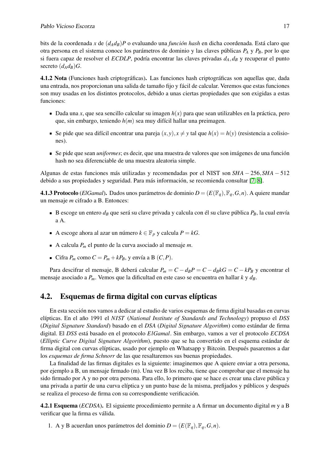bits de la coordenada *x* de (*dAdB*)*P* o evaluando una *función hash* en dicha coordenada. Está claro que otra persona en el sistema conoce los parámetros de dominio y las claves públicas *P<sup>A</sup>* y *PB*, por lo que si fuera capaz de resolver el *ECDLP*, podría encontrar las claves privadas *dA*,*d<sup>B</sup>* y recuperar el punto secreto  $(d_A d_B)$ *G*.

4.1.2 Nota (Funciones hash criptográficas). Las funciones hash criptográficas son aquellas que, dada una entrada, nos proporcionan una salida de tamaño fijo y fácil de calcular. Veremos que estas funciones son muy usadas en los distintos protocolos, debido a unas ciertas propiedades que son exigidas a estas funciones:

- Dada una *x*, que sea sencillo calcular su imagen  $h(x)$  para que sean utilizables en la práctica, pero que, sin embargo, teniendo *h*(*m*) sea muy difícil hallar una preimagen.
- Se pide que sea difícil encontrar una pareja  $(x, y)$ ,  $x \neq y$  tal que  $h(x) = h(y)$  (resistencia a colisiones).
- Se pide que sean *uniformes*; es decir, que una muestra de valores que son imágenes de una función hash no sea diferenciable de una muestra aleatoria simple.

Algunas de estas funciones más utilizadas y recomendadas por el NIST son *SHA* − 256,*SHA* − 512 debido a sus propiedades y seguridad. Para más información, se recomienda consultar [\[7,](#page-30-3) [8\]](#page-30-4).

**4.1.3 Protocolo** (*ElGamal*). Dados unos parámetros de dominio  $D = (E(\mathbb{F}_q), \mathbb{F}_q, G, n)$ . A quiere mandar un mensaje *m* cifrado a B. Entonces:

- B escoge un entero  $d_B$  que será su clave privada y calcula con él su clave pública  $P_B$ , la cual envía a A.
- A escoge ahora al azar un número  $k \in \mathbb{F}_p$  y calcula  $P = kG$ .
- A calcula *P<sup>m</sup>* el punto de la curva asociado al mensaje *m*.
- Cifra  $P_m$  como  $C = P_m + kP_B$ , y envía a B  $(C, P)$ .

Para descifrar el mensaje, B deberá calcular  $P_m = C - d_B P = C - d_B kG = C - kP_B$  y encontrar el mensaje asociado a *Pm*. Vemos que la dificultad en este caso se encuentra en hallar *k* y *dB*.

#### <span id="page-22-0"></span>4.2. Esquemas de firma digital con curvas elípticas

En esta sección nos vamos a dedicar al estudio de varios esquemas de firma digital basadas en curvas elípticas. En el año 1991 el *NIST* (*National Institute of Standards and Technology*) propuso el *DSS* (*Digital Signature Standard*) basado en el *DSA* (*Digital Signature Algorithm*) como estándar de firma digital. El *DSS* está basado en el protocolo *ElGamal*. Sin embargo, vamos a ver el protocolo *ECDSA* (*Elliptic Curve Digital Signature Algorithm*), puesto que se ha convertido en el esquema estándar de firma digital con curvas elípticas, usado por ejemplo en Whatsapp y Bitcoin. Después pasaremos a dar los *esquemas de firma Schnorr* de las que resaltaremos sus buenas propiedades.

La finalidad de las firmas digitales es la siguiente: imaginemos que A quiere enviar a otra persona, por ejemplo a B, un mensaje firmado (m). Una vez B los reciba, tiene que comprobar que el mensaje ha sido firmado por A y no por otra persona. Para ello, lo primero que se hace es crear una clave pública y una privada a partir de una curva elíptica y un punto base de la misma, prefijados y públicos y después se realiza el proceso de firma con su correspondiente verificación.

4.2.1 Esquema (*ECDSA*). El siguiente procedimiento permite a A firmar un documento digital *m* y a B verificar que la firma es válida.

1. A y B acuerdan unos parámetros del dominio  $D = (E(\mathbb{F}_q), \mathbb{F}_q, G, n)$ .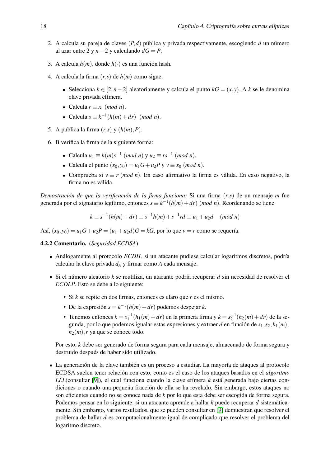- 2. A calcula su pareja de claves (*P*,*d*) pública y privada respectivamente, escogiendo *d* un número al azar entre 2 y *n* − 2 y calculando  $dG = P$ .
- 3. A calcula *h*(*m*), donde *h*(·) es una función hash.
- 4. A calcula la firma  $(r, s)$  de  $h(m)$  como sigue:
	- Selecciona  $k \in [2, n-2]$  aleatoriamente y calcula el punto  $kG = (x, y)$ . A  $k$  se le denomina clave privada efímera.
	- Calcula  $r \equiv x \pmod{n}$ .
	- Calcula  $s \equiv k^{-1}(h(m) + dr)$  (*mod n*).
- 5. A publica la firma  $(r, s)$  y  $(h(m), P)$ .
- 6. B verifica la firma de la siguiente forma:
	- Calcula  $u_1$  ≡  $h(m)s^{-1}$  (*mod n*) y  $u_2$  ≡  $rs^{-1}$  (*mod n*).
	- Calcula el punto  $(x_0, y_0) = u_1 G + u_2 P$  y  $v \equiv x_0 \pmod{n}$ .
	- Comprueba si  $v \equiv r \pmod{n}$ . En caso afirmativo la firma es válida. En caso negativo, la firma no es válida.

*Demostración de que la verificación de la firma funciona:* Si una firma (*r*,*s*) de un mensaje *m* fue generada por el signatario legítimo, entonces  $s \equiv k^{-1}(h(m) + dr)$  (*mod n*). Reordenando se tiene

$$
k \equiv s^{-1}(h(m) + dr) \equiv s^{-1}h(m) + s^{-1}rd \equiv u_1 + u_2d \pmod{n}
$$

Así,  $(x_0, y_0) = u_1 G + u_2 P = (u_1 + u_2 d) G = kG$ , por lo que  $v = r$  como se requería.

4.2.2 Comentario. (*Seguridad ECDSA*)

- Análogamente al protocolo *ECDH*, si un atacante pudiese calcular logaritmos discretos, podría calcular la clave privada *d<sup>A</sup>* y firmar como *A* cada mensaje.
- Si el número aleatorio *k* se reutiliza, un atacante podría recuperar *d* sin necesidad de resolver el *ECDLP*. Esto se debe a lo siguiente:
	- Si *k* se repite en dos firmas, entonces es claro que *r* es el mismo.
	- De la expresión  $s = k^{-1}(h(m) + dr)$  podemos despejar *k*.
	- Tenemos entonces  $k = s_1^{-1}(h_1(m) + dr)$  en la primera firma y  $k = s_2^{-1}(h_2(m) + dr)$  de la segunda, por lo que podemos igualar estas expresiones y extraer *d* en función de  $s_1, s_2, h_1(m)$ ,  $h_2(m)$ , *r* ya que se conoce todo.

Por esto, *k* debe ser generado de forma segura para cada mensaje, almacenado de forma segura y destruido después de haber sido utilizado.

La generación de la clave también es un proceso a estudiar. La mayoría de ataques al protocolo ECDSA suelen tener relación con esto, como es el caso de los ataques basados en el *algoritmo LLL*(consultar [\[9\]](#page-30-5)), el cual funciona cuando la clave efímera *k* está generada bajo ciertas condiciones o cuando una pequeña fracción de ella se ha revelado. Sin embargo, estos ataques no son eficientes cuando no se conoce nada de *k* por lo que esta debe ser escogida de forma segura. Podemos pensar en lo siguiente: si un atacante aprende a hallar *k* puede recuperar *d* sistemáticamente. Sin embargo, varios resultados, que se pueden consultar en [\[9\]](#page-30-5) demuestran que resolver el problema de hallar *d* es computacionalmente igual de complicado que resolver el problema del logaritmo discreto.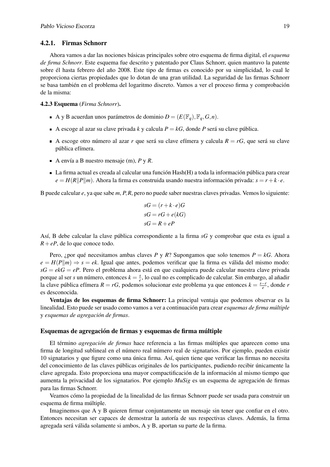#### <span id="page-24-0"></span>4.2.1. Firmas Schnorr

Ahora vamos a dar las nociones básicas principales sobre otro esquema de firma digital, el *esquema de firma Schnorr*. Este esquema fue descrito y patentado por Claus Schnorr, quien mantuvo la patente sobre él hasta febrero del año 2008. Este tipo de firmas es conocido por su simplicidad, lo cual le proporciona ciertas propiedades que lo dotan de una gran utilidad. La seguridad de las firmas Schnorr se basa también en el problema del logaritmo discreto. Vamos a ver el proceso firma y comprobación de la misma:

#### 4.2.3 Esquema (*Firma Schnorr*).

- A y B acuerdan unos parámetros de dominio  $D = (E(\mathbb{F}_q), \mathbb{F}_q, G, n)$ .
- A escoge al azar su clave privada *k* y calcula  $P = kG$ , donde P será su clave pública.
- A escoge otro número al azar *r* que será su clave efímera y calcula  $R = rG$ , que será su clave pública efímera.
- A envía a B nuestro mensaje (m), *P* y *R*.
- La firma actual es creada al calcular una función Hash(H) a toda la información pública para crear  $e = H(R||P||m)$ . Ahora la firma es construida usando nuestra información privada:  $s = r + k \cdot e$ .

B puede calcular *e*, ya que sabe *m*, *P*,*R*, pero no puede saber nuestras claves privadas. Vemos lo siguiente:

$$
sG = (r + k \cdot e)G
$$

$$
sG = rG + e(kG)
$$

$$
sG = R + eP
$$

Así, B debe calcular la clave pública correspondiente a la firma *sG* y comprobar que esta es igual a  $R + eP$ , de lo que conoce todo.

Pero, ¿por qué necesitamos ambas claves *P* y *R*? Supongamos que solo tenemos *P* = *kG*. Ahora  $e = H(P||m) \Rightarrow s = ek$ . Igual que antes, podemos verificar que la firma es válida del mismo modo: *sG* = *ekG* = *eP*. Pero el problema ahora está en que cualquiera puede calcular nuestra clave privada porque al ser *s* un número, entonces  $k = \frac{s}{e}$ *e* , lo cual no es complicado de calcular. Sin embargo, al añadir la clave pública efímera  $R = rG$ , podemos solucionar este problema ya que entonces  $k = \frac{s-r}{e}$  $\frac{-r}{e}$ , donde *r* es desconocida.

Ventajas de los esquemas de firma Schnorr: La principal ventaja que podemos observar es la linealidad. Esto puede ser usado como vamos a ver a continuación para crear *esquemas de firma múltiple* y *esquemas de agregación de firmas*.

#### Esquemas de agregación de firmas y esquemas de firma múltiple

El término *agregación de firmas* hace referencia a las firmas múltiples que aparecen como una firma de longitud sublineal en el número real número real de signatarios. Por ejemplo, pueden existir 10 signatarios y que figure como una única firma. Así, quien tiene que verificar las firmas no necesita del conocimiento de las claves públicas originales de los participantes, pudiendo recibir únicamente la clave agregada. Esto proporciona una mayor compactificación de la información al mismo tiempo que aumenta la privacidad de los signatarios. Por ejemplo *MuSig* es un esquema de agregación de firmas para las firmas Schnorr.

Veamos cómo la propiedad de la linealidad de las firmas Schnorr puede ser usada para construir un esquema de firma múltiple.

Imaginemos que A y B quieren firmar conjuntamente un mensaje sin tener que confiar en el otro. Entonces necesitan ser capaces de demostrar la autoría de sus respectivas claves. Además, la firma agregada será válida solamente si ambos, A y B, aportan su parte de la firma.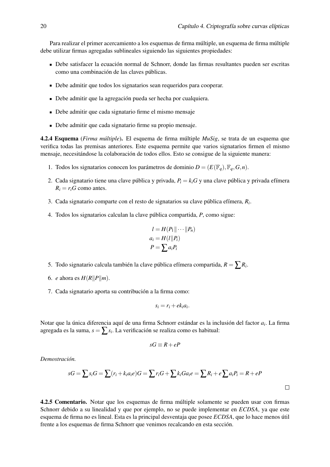Para realizar el primer acercamiento a los esquemas de firma múltiple, un esquema de firma múltiple debe utilizar firmas agregadas sublineales siguiendo las siguientes propiedades:

- Debe satisfacer la ecuación normal de Schnorr, donde las firmas resultantes pueden ser escritas como una combinación de las claves públicas.
- Debe admitir que todos los signatarios sean requeridos para cooperar.
- Debe admitir que la agregación pueda ser hecha por cualquiera.
- Debe admitir que cada signatario firme el mismo mensaje
- Debe admitir que cada signatario firme su propio mensaje.

<span id="page-25-0"></span>4.2.4 Esquema (*Firma múltiple*). El esquema de firma múltiple *MuSig*, se trata de un esquema que verifica todas las premisas anteriores. Este esquema permite que varios signatarios firmen el mismo mensaje, necesitándose la colaboración de todos ellos. Esto se consigue de la siguiente manera:

- 1. Todos los signatarios conocen los parámetros de dominio  $D = (E(\mathbb{F}_q), \mathbb{F}_q, G, n)$ .
- 2. Cada signatario tiene una clave pública y privada,  $P_i = k_i G$  y una clave pública y privada efímera  $R_i = r_i G$  como antes.
- 3. Cada signatario comparte con el resto de signatarios su clave pública efímera, *R<sup>i</sup>* .
- 4. Todos los signatarios calculan la clave pública compartida, *P*, como sigue:

$$
l = H(P_1 || \cdots || P_n)
$$
  
\n
$$
a_i = H(l || P_i)
$$
  
\n
$$
P = \sum a_i P_i
$$

- 5. Todo signatario calcula también la clave pública efímera compartida,  $R = \sum R_i$ .
- 6. *e* ahora es  $H(R||P||m)$ .
- 7. Cada signatario aporta su contribución a la firma como:

$$
s_i = r_i + ek_ia_i.
$$

Notar que la única diferencia aquí de una firma Schnorr estándar es la inclusión del factor *a<sup>i</sup>* . La firma agregada es la suma, *<sup>s</sup>* <sup>=</sup> ∑*<sup>s</sup><sup>i</sup>* . La verificación se realiza como es habitual:

$$
sG \equiv R + eP
$$

*Demostración.*

$$
sG = \sum s_i G = \sum (r_i + k_i a_i e) G = \sum r_i G + \sum k_i G a_i e = \sum R_i + e \sum a_i P_i = R + eP
$$

4.2.5 Comentario. Notar que los esquemas de firma múltiple solamente se pueden usar con firmas Schnorr debido a su linealidad y que por ejemplo, no se puede implementar en *ECDSA*, ya que este esquema de firma no es lineal. Esta es la principal desventaja que posee *ECDSA*, que lo hace menos útil frente a los esquemas de firma Schnorr que venimos recalcando en esta sección.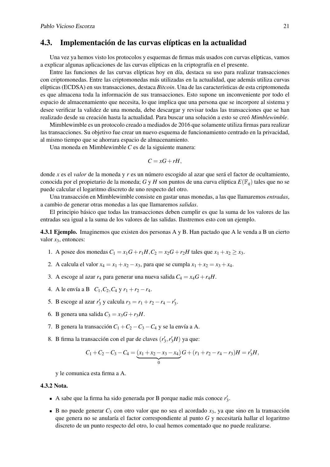#### <span id="page-26-0"></span>4.3. Implementación de las curvas elípticas en la actualidad

Una vez ya hemos visto los protocolos y esquemas de firmas más usados con curvas elípticas, vamos a explicar algunas aplicaciones de las curvas elípticas en la criptografía en el presente.

Entre las funciones de las curvas elípticas hoy en día, destaca su uso para realizar transacciones con criptomonedas. Entre las criptomonedas más utilizadas en la actualidad, que además utiliza curvas elípticas (ECDSA) en sus transacciones, destaca *Bitcoin*. Una de las características de esta criptomoneda es que almacena toda la información de sus transacciones. Esto supone un inconveniente por todo el espacio de almacenamiento que necesita, lo que implica que una persona que se incorpore al sistema y desee verificar la validez de una moneda, debe descargar y revisar todas las transacciones que se han realizado desde su creación hasta la actualidad. Para buscar una solución a esto se creó *Mimblewimble*.

Mimblewimble es un protocolo creado a mediados de 2016 que solamente utiliza firmas para realizar las transacciones. Su objetivo fue crear un nuevo esquema de funcionamiento centrado en la privacidad, al mismo tiempo que se ahorrara espacio de almacenamiento.

Una moneda en Mimblewimble *C* es de la siguiente manera:

$$
C = xG + rH,
$$

donde *x* es el *valor* de la moneda y *r* es un número escogido al azar que será el factor de ocultamiento, conocida por el propietario de la moneda; *G* y *H* son puntos de una curva elíptica  $E(\mathbb{F}_q)$  tales que no se puede calcular el logaritmo discreto de uno respecto del otro.

Una transacción en Mimblewimble consiste en gastar unas monedas, a las que llamaremos *entradas*, a cambio de generar otras monedas a las que llamaremos *salidas*.

El principio básico que todas las transacciones deben cumplir es que la suma de los valores de las entradas sea igual a la suma de los valores de las salidas. Ilustremos esto con un ejemplo.

4.3.1 Ejemplo. Imaginemos que existen dos personas A y B. Han pactado que A le venda a B un cierto valor *x*3, entonces:

- 1. A posee dos monedas  $C_1 = x_1 G + r_1 H$ ,  $C_2 = x_2 G + r_2 H$  tales que  $x_1 + x_2 > x_3$ .
- 2. A calcula el valor  $x_4 = x_1 + x_2 x_3$ , para que se cumpla  $x_1 + x_2 = x_3 + x_4$ .
- 3. A escoge al azar  $r_4$  para generar una nueva salida  $C_4 = x_4G + r_4H$ .
- 4. A le envía a B  $C_1$ ,  $C_2$ ,  $C_4$  y  $r_1 + r_2 r_4$ .
- 5. B escoge al azar  $r'_3$  y calcula  $r_3 = r_1 + r_2 r_4 r'_3$ .
- 6. B genera una salida  $C_3 = x_3G + r_3H$ .
- 7. B genera la transacción  $C_1 + C_2 C_3 C_4$  y se la envía a A.
- 8. B firma la transacción con el par de claves  $(r'_3, r'_3H)$  ya que:

$$
C_1 + C_2 - C_3 - C_4 = \underbrace{(x_1 + x_2 - x_3 - x_4)}_{0}G + (r_1 + r_2 - r_4 - r_3)H = r'_3H,
$$

y le comunica esta firma a A.

#### 4.3.2 Nota.

- A sabe que la firma ha sido generada por B porque nadie más conoce  $r'_3$ .
- B no puede generar  $C_3$  con otro valor que no sea el acordado  $x_3$ , ya que sino en la transacción que genera no se anularía el factor correspondiente al punto *G* y necesitaría hallar el logaritmo discreto de un punto respecto del otro, lo cual hemos comentado que no puede realizarse.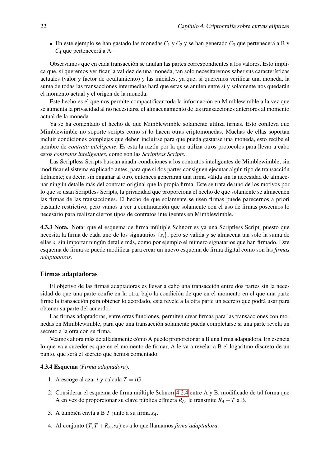En este ejemplo se han gastado las monedas  $C_1$  y  $C_2$  y se han generado  $C_3$  que pertenecerá a B y *C*<sup>4</sup> que pertenecerá a A.

Observamos que en cada transacción se anulan las partes correspondientes a los valores. Esto implica que, si queremos verificar la validez de una moneda, tan solo necesitaremos saber sus características actuales (valor y factor de ocultamiento) y las iniciales, ya que, si queremos verificar una moneda, la suma de todas las transacciones intermedias hará que estas se anulen entre sí y solamente nos quedarán el momento actual y el origen de la moneda.

Este hecho es el que nos permite compactificar toda la información en Mimblewimble a la vez que se aumenta la privacidad al no necesitarse el almacenamiento de las transacciones anteriores al momento actual de la moneda.

Ya se ha comentado el hecho de que Mimblewimble solamente utiliza firmas. Esto conlleva que Mimblewimble no soporte scripts como sí lo hacen otras criptomonedas. Muchas de ellas soportan incluir condiciones complejas que deben incluirse para que pueda gastarse una moneda, esto recibe el nombre de *contrato inteligente*. Es esta la razón por la que utiliza otros protocolos para llevar a cabo estos *contratos inteligentes*, como son las *Scriptless Scripts*.

Las Scriptless Scripts buscan añadir condiciones a los contratos inteligentes de Mimblewimble, sin modificar el sistema explicado antes, para que si dos partes consiguen ejecutar algún tipo de transacción fielmente; es decir, sin engañar al otro, entonces generarán una firma válida sin la necesidad de almacenar ningún detalle más del contrato original que la propia firma. Este se trata de uno de los motivos por lo que se usan Scriptless Scripts, la privacidad que proporciona el hecho de que solamente se almacenen las firmas de las transacciones. El hecho de que solamente se usen firmas puede parecernos a priori bastante restrictivo, pero vamos a ver a continuación que solamente con el uso de firmas poseemos lo necesario para realizar ciertos tipos de contratos inteligentes en Mimblewimble.

4.3.3 Nota. Notar que el esquema de firma múltiple Schnorr es ya una Scriptless Script, puesto que necesita la firma de cada uno de los signatarios {*si*}, pero se valida y se almacena tan solo la suma de ellas *s*, sin importar ningún detalle más, como por ejemplo el número signatarios que han firmado. Este esquema de firma se puede modificar para crear un nuevo esquema de firma digital como son las *firmas adaptadoras*.

#### Firmas adaptadoras

El objetivo de las firmas adaptadoras es llevar a cabo una transacción entre dos partes sin la necesidad de que una parte confíe en la otra, bajo la condición de que en el momento en el que una parte firme la transacción para obtener lo acordado, esta revele a la otra parte un secreto que podrá usar para obtener su parte del acuerdo.

Las firmas adaptadoras, entre otras funciones, permiten crear firmas para las transacciones con monedas en Mimblewimble, para que una transacción solamente pueda completarse si una parte revela un secreto a la otra con su firma.

Veamos ahora más detalladamente cómo A puede proporcionar a B una firma adaptadora. En esencia lo que va a suceder es que en el momento de firmar, A le va a revelar a B el logaritmo discreto de un punto, que será el secreto que hemos comentado.

#### 4.3.4 Esquema (*Firma adaptadora*).

- 1. A escoge al azar *t* y calcula  $T = tG$ .
- 2. Considerar el esquema de firma múltiple Schnorr [4.2.4](#page-25-0) entre A y B, modificado de tal forma que A en vez de proporcionar su clave pública efímera  $R_A$ , le transmite  $R_A + T$  a B.
- 3. A también envía a B *T* junto a su firma *sA*.
- 4. Al conjunto  $(T, T + R_A, s_A)$  es a lo que llamamos *firma adaptadora*.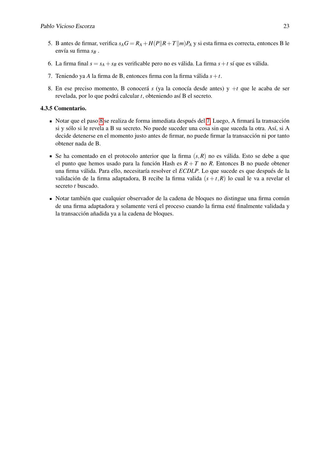- 5. B antes de firmar, verifica  $s_A G = R_A + H(P||R + T||m)P_A$  y si esta firma es correcta, entonces B le envía su firma *s<sup>B</sup>* .
- 6. La firma final  $s = s_A + s_B$  es verificable pero no es válida. La firma  $s + t$  sí que es válida.
- <span id="page-28-1"></span>7. Teniendo ya *A* la firma de B, entonces firma con la firma válida *s*+*t*.
- <span id="page-28-0"></span>8. En ese preciso momento, B conocerá *s* (ya la conocía desde antes) y +*t* que le acaba de ser revelada, por lo que podrá calcular *t*, obteniendo así B el secreto.

#### 4.3.5 Comentario.

- Notar que el paso [8](#page-28-0) se realiza de forma inmediata después del [7.](#page-28-1) Luego, A firmará la transacción si y sólo si le revela a B su secreto. No puede suceder una cosa sin que suceda la otra. Así, si A decide detenerse en el momento justo antes de firmar, no puede firmar la transacción ni por tanto obtener nada de B.
- Se ha comentado en el protocolo anterior que la firma  $(s, R)$  no es válida. Esto se debe a que el punto que hemos usado para la función Hash es *R* + *T* no *R*. Entonces B no puede obtener una firma válida. Para ello, necesitaría resolver el *ECDLP*. Lo que sucede es que después de la validación de la firma adaptadora, B recibe la firma valida  $(s + t, R)$  lo cual le va a revelar el secreto *t* buscado.
- Notar también que cualquier observador de la cadena de bloques no distingue una firma común de una firma adaptadora y solamente verá el proceso cuando la firma esté finalmente validada y la transacción añadida ya a la cadena de bloques.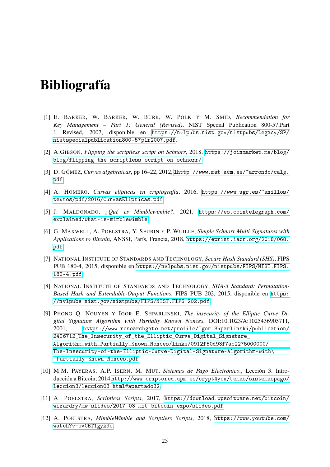### <span id="page-30-0"></span>Bibliografía

- <span id="page-30-1"></span>[1] E. BARKER, W. BARKER, W. BURR, W. POLK Y M. SMID, *Recommendation for Key Management – Part 1: General (Revised)*, NIST Special Publication 800-57,Part 1 Revised, 2007, disponible en [https://nvlpubs.nist.gov/nistpubs/Legacy/SP/](https://nvlpubs.nist.gov/nistpubs/Legacy/SP/nistspecialpublication800-57p1r2007.pdf) [nistspecialpublication800-57p1r2007.pdf](https://nvlpubs.nist.gov/nistpubs/Legacy/SP/nistspecialpublication800-57p1r2007.pdf).
- [2] A.GIBSON, *Flipping the scriptless script on Schnorr*, 2018, [https://joinmarket.me/blog/](https://joinmarket.me/blog/blog/flipping-the-scriptless-script-on-schnorr/) [blog/flipping-the-scriptless-script-on-schnorr/](https://joinmarket.me/blog/blog/flipping-the-scriptless-script-on-schnorr/)
- [3] D. GÓMEZ, *Curvas algebraicas*, pp 16–22, 2012, [lhttp://www.mat.ucm.es/~arrondo/calg.](lhttp://www.mat.ucm.es/~arrondo/calg.pdf) [pdf](lhttp://www.mat.ucm.es/~arrondo/calg.pdf)
- [4] A. HOMERO, *Curvas elípticas en criptografía*, 2016, [https://www.ugr.es/~anillos/](https://www.ugr.es/~anillos/textos/pdf/2016/CurvasElipticas.pdf) [textos/pdf/2016/CurvasElipticas.pdf](https://www.ugr.es/~anillos/textos/pdf/2016/CurvasElipticas.pdf)
- [5] J. MALDONADO, *¿Qué es Mimblewimble?*, 2021, [https://es.cointelegraph.com/](https://es.cointelegraph.com/explained/what-is-mimblewimble) [explained/what-is-mimblewimble](https://es.cointelegraph.com/explained/what-is-mimblewimble)
- [6] G. MAXWELL, A. POELSTRA, Y. SEURIN Y P. WUILLE, *Simple Schnorr Multi-Signatures with Applications to Bitcoin*, ANSSI, París, Francia, 2018, [https://eprint.iacr.org/2018/068.](https://eprint.iacr.org/2018/068.pdf) [pdf](https://eprint.iacr.org/2018/068.pdf)
- <span id="page-30-3"></span>[7] NATIONAL INSTITUTE OF STANDARDS AND TECHNOLOGY, *Secure Hash Standard (SHS)*, FIPS PUB 180-4, 2015, disponible en [https://nvlpubs.nist.gov/nistpubs/FIPS/NIST.FIPS.](https://nvlpubs.nist.gov/nistpubs/FIPS/NIST.FIPS.180-4.pdf) [180-4.pdf](https://nvlpubs.nist.gov/nistpubs/FIPS/NIST.FIPS.180-4.pdf).
- <span id="page-30-4"></span>[8] NATIONAL INSTITUTE OF STANDARDS AND TECHNOLOGY, *SHA-3 Standard: Permutation-Based Hash and Extendable-Output Functions*, FIPS PUB 202, 2015, disponible en [https:](https://nvlpubs.nist.gov/nistpubs/FIPS/NIST.FIPS.202.pdf) [//nvlpubs.nist.gov/nistpubs/FIPS/NIST.FIPS.202.pdf](https://nvlpubs.nist.gov/nistpubs/FIPS/NIST.FIPS.202.pdf).
- <span id="page-30-5"></span>[9] PHONG Q. NGUYEN Y IGOR E. SHPARLINSKI, *The insecurity of the Elliptic Curve Digital Signature Algorithm with Partially Known Nonces*, DOI:10.1023/A:1025436905711, 2001, [https://www.researchgate.net/profile/Igor-Shparlinski/publication/](https://www.researchgate.net/profile/Igor-Shparlinski/publication/2406712_The_Insecurity_of_the_Elliptic_Curve_Digital_Signature_Algorithm_with_Partially_Known_Nonces/links/0912f50d93f7ac2275000000/The-Insecurity-of-the-Elliptic-Curve-Digital-Signature-Algorithm-with\-Partially-Known-Nonces.pdf) [2406712\\_The\\_Insecurity\\_of\\_the\\_Elliptic\\_Curve\\_Digital\\_Signature\\_](https://www.researchgate.net/profile/Igor-Shparlinski/publication/2406712_The_Insecurity_of_the_Elliptic_Curve_Digital_Signature_Algorithm_with_Partially_Known_Nonces/links/0912f50d93f7ac2275000000/The-Insecurity-of-the-Elliptic-Curve-Digital-Signature-Algorithm-with\-Partially-Known-Nonces.pdf) [Algorithm\\_with\\_Partially\\_Known\\_Nonces/links/0912f50d93f7ac2275000000/](https://www.researchgate.net/profile/Igor-Shparlinski/publication/2406712_The_Insecurity_of_the_Elliptic_Curve_Digital_Signature_Algorithm_with_Partially_Known_Nonces/links/0912f50d93f7ac2275000000/The-Insecurity-of-the-Elliptic-Curve-Digital-Signature-Algorithm-with\-Partially-Known-Nonces.pdf) [The-Insecurity-of-the-Elliptic-Curve-Digital-Signature-Algorithm-with\](https://www.researchgate.net/profile/Igor-Shparlinski/publication/2406712_The_Insecurity_of_the_Elliptic_Curve_Digital_Signature_Algorithm_with_Partially_Known_Nonces/links/0912f50d93f7ac2275000000/The-Insecurity-of-the-Elliptic-Curve-Digital-Signature-Algorithm-with\-Partially-Known-Nonces.pdf) [-Partially-Known-Nonces.pdf](https://www.researchgate.net/profile/Igor-Shparlinski/publication/2406712_The_Insecurity_of_the_Elliptic_Curve_Digital_Signature_Algorithm_with_Partially_Known_Nonces/links/0912f50d93f7ac2275000000/The-Insecurity-of-the-Elliptic-Curve-Digital-Signature-Algorithm-with\-Partially-Known-Nonces.pdf)
- <span id="page-30-2"></span>[10] M.M. PAYERAS, A.P. ISERN, M. MUT, *Sistemas de Pago Electrónico.*, Lección 3. Introducción a Bitcoin, 2014 [http://www.criptored.upm.es/crypt4you/temas/sistemaspago/](http://www.criptored.upm.es/crypt4you/temas/sistemaspago/leccion3/leccion03.html#apartado32) [leccion3/leccion03.html#apartado32](http://www.criptored.upm.es/crypt4you/temas/sistemaspago/leccion3/leccion03.html#apartado32).
- [11] A. POELSTRA, *Scriptless Scripts*, 2017, [https://download.wpsoftware.net/bitcoin/](https://download.wpsoftware.net/bitcoin/wizardry/mw-slides/2017-03-mit-bitcoin-expo/slides.pdf) [wizardry/mw-slides/2017-03-mit-bitcoin-expo/slides.pdf](https://download.wpsoftware.net/bitcoin/wizardry/mw-slides/2017-03-mit-bitcoin-expo/slides.pdf)
- [12] A. POELSTRA, *MimbleWimble and Scriptless Scripts*, 2018, [https://www.youtube.com/](https://www.youtube.com/watch?v=ovCBT1gyk9c) [watch?v=ovCBT1gyk9c](https://www.youtube.com/watch?v=ovCBT1gyk9c).